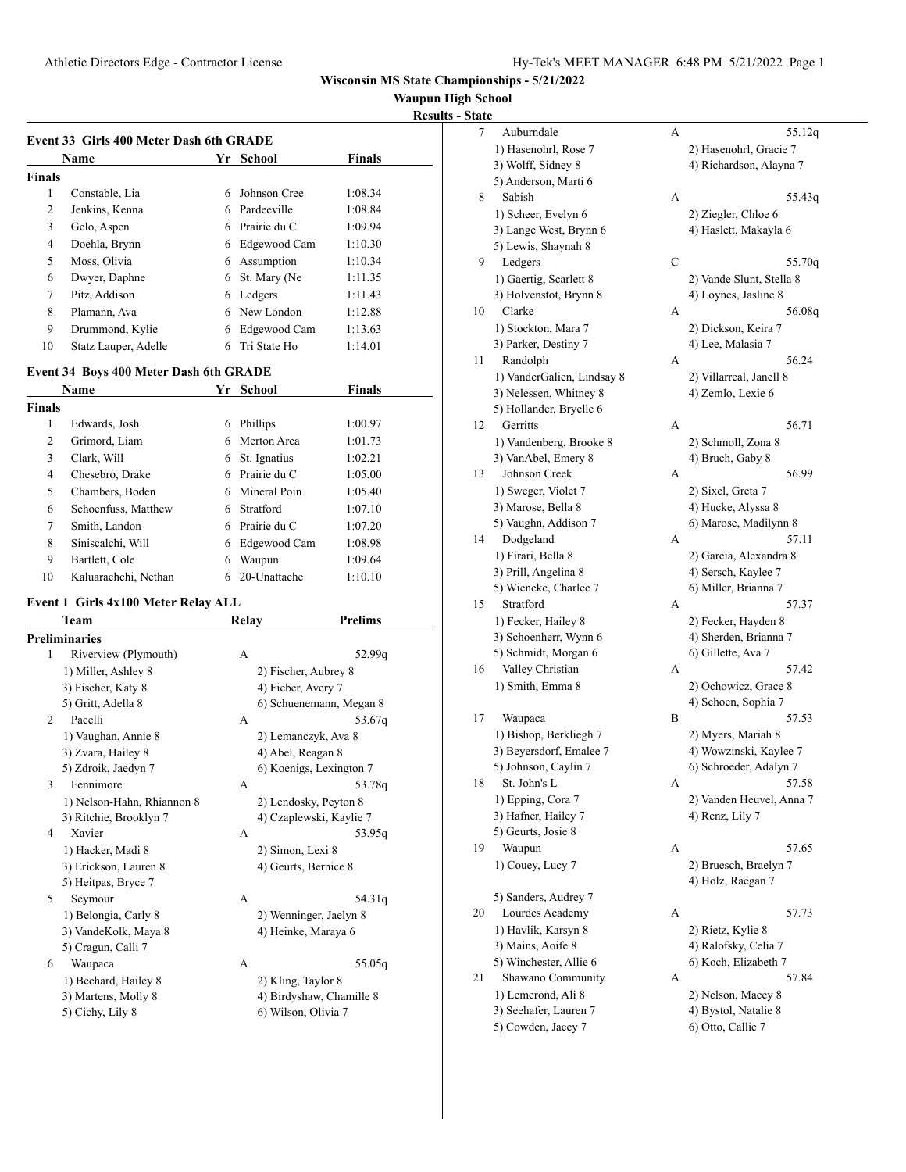**Waupun High School**

**Results - State** 

| Event 33 Girls 400 Meter Dash 6th GRADE |                      |     |              |               |  |
|-----------------------------------------|----------------------|-----|--------------|---------------|--|
|                                         | <b>Name</b>          | Yr. | School       | <b>Finals</b> |  |
| <b>Finals</b>                           |                      |     |              |               |  |
| 1                                       | Constable, Lia       | 6   | Johnson Cree | 1:08.34       |  |
| 2                                       | Jenkins, Kenna       | 6.  | Pardeeville  | 1:08.84       |  |
| 3                                       | Gelo, Aspen          | 6   | Prairie du C | 1:09.94       |  |
| 4                                       | Doehla, Brynn        | 6   | Edgewood Cam | 1:10.30       |  |
| 5                                       | Moss, Olivia         | 6   | Assumption   | 1:10.34       |  |
| 6                                       | Dwyer, Daphne        | 6   | St. Mary (Ne | 1:11.35       |  |
| 7                                       | Pitz, Addison        | 6   | Ledgers      | 1:11.43       |  |
| 8                                       | Plamann, Ava         | 6   | New London   | 1:12.88       |  |
| 9                                       | Drummond, Kylie      | 6   | Edgewood Cam | 1:13.63       |  |
| 10                                      | Statz Lauper, Adelle | 6   | Tri State Ho | 1:14.01       |  |

#### **Event 34 Boys 400 Meter Dash 6th GRADE**

| Name          |                      | Yr | School       | <b>Finals</b> |  |
|---------------|----------------------|----|--------------|---------------|--|
| <b>Finals</b> |                      |    |              |               |  |
| 1             | Edwards, Josh        | 6  | Phillips     | 1:00.97       |  |
| 2             | Grimord, Liam        | 6. | Merton Area  | 1:01.73       |  |
| 3             | Clark, Will          | 6  | St. Ignatius | 1:02.21       |  |
| 4             | Chesebro, Drake      | 6  | Prairie du C | 1:05.00       |  |
| 5             | Chambers, Boden      | 6  | Mineral Poin | 1:05.40       |  |
| 6             | Schoenfuss, Matthew  | 6  | Stratford    | 1:07.10       |  |
| 7             | Smith, Landon        | 6  | Prairie du C | 1:07.20       |  |
| 8             | Siniscalchi, Will    | 6  | Edgewood Cam | 1:08.98       |  |
| 9             | Bartlett, Cole       | 6  | Waupun       | 1:09.64       |  |
| 10            | Kaluarachchi, Nethan | 6  | 20-Unattache | 1:10.10       |  |

# **Event 1 Girls 4x100 Meter Relay ALL<br>Team Relay**

 $\overline{a}$ 

|   | Team                       | Relay        | Prelims                  |
|---|----------------------------|--------------|--------------------------|
|   | Preliminaries              |              |                          |
| 1 | Riverview (Plymouth)       | $\mathsf{A}$ | 52.99 <sub>q</sub>       |
|   | 1) Miller, Ashley 8        |              | 2) Fischer, Aubrey 8     |
|   | 3) Fischer, Katy 8         |              | 4) Fieber, Avery 7       |
|   | 5) Gritt, Adella 8         |              | 6) Schuenemann, Megan 8  |
| 2 | Pacelli                    | A            | 53.67g                   |
|   | 1) Vaughan, Annie 8        |              | 2) Lemanczyk, Ava 8      |
|   | 3) Zvara, Hailey 8         |              | 4) Abel, Reagan 8        |
|   | 5) Zdroik, Jaedyn 7        |              | 6) Koenigs, Lexington 7  |
| 3 | Fennimore                  | A            | 53.78g                   |
|   | 1) Nelson-Hahn, Rhiannon 8 |              | 2) Lendosky, Peyton 8    |
|   | 3) Ritchie, Brooklyn 7     |              | 4) Czaplewski, Kaylie 7  |
| 4 | Xavier                     | A            | 53.95q                   |
|   | 1) Hacker, Madi 8          |              | 2) Simon, Lexi 8         |
|   | 3) Erickson, Lauren 8      |              | 4) Geurts, Bernice 8     |
|   | 5) Heitpas, Bryce 7        |              |                          |
| 5 | Seymour                    | $\mathsf{A}$ | 54.31g                   |
|   | 1) Belongia, Carly 8       |              | 2) Wenninger, Jaelyn 8   |
|   | 3) VandeKolk, Maya 8       |              | 4) Heinke, Maraya 6      |
|   | 5) Cragun, Calli 7         |              |                          |
| 6 | Waupaca                    | A            | 55.05g                   |
|   | 1) Bechard, Hailey 8       |              | 2) Kling, Taylor 8       |
|   | 3) Martens, Molly 8        |              | 4) Birdyshaw, Chamille 8 |
|   | 5) Cichy, Lily 8           |              | 6) Wilson, Olivia 7      |
|   |                            |              |                          |

| <u>tate</u> |                                           |   |                                             |
|-------------|-------------------------------------------|---|---------------------------------------------|
| 7           | Auburndale                                | А | 55.12q                                      |
|             | 1) Hasenohrl, Rose 7                      |   | 2) Hasenohrl, Gracie 7                      |
|             | 3) Wolff, Sidney 8                        |   | 4) Richardson, Alayna 7                     |
|             | 5) Anderson, Marti 6                      |   |                                             |
| 8           | Sabish                                    | А | 55.43q                                      |
|             | 1) Scheer, Evelyn 6                       |   | 2) Ziegler, Chloe 6                         |
|             | 3) Lange West, Brynn 6                    |   | 4) Haslett, Makayla 6                       |
|             | 5) Lewis, Shaynah 8                       |   |                                             |
| 9           | Ledgers                                   | С | 55.70g                                      |
|             | 1) Gaertig, Scarlett 8                    |   | 2) Vande Slunt, Stella 8                    |
|             | 3) Holvenstot, Brynn 8                    |   | 4) Loynes, Jasline 8                        |
| 10          | Clarke                                    | А | 56.08q                                      |
|             | 1) Stockton, Mara 7                       |   | 2) Dickson, Keira 7                         |
| 11          | 3) Parker, Destiny 7<br>Randolph          | А | 4) Lee, Malasia 7<br>56.24                  |
|             | 1) VanderGalien, Lindsay 8                |   | 2) Villarreal, Janell 8                     |
|             | 3) Nelessen, Whitney 8                    |   | 4) Zemlo, Lexie 6                           |
|             | 5) Hollander, Bryelle 6                   |   |                                             |
| 12          | Gerritts                                  | А | 56.71                                       |
|             | 1) Vandenberg, Brooke 8                   |   | 2) Schmoll, Zona 8                          |
|             | 3) VanAbel, Emery 8                       |   | 4) Bruch, Gaby 8                            |
| 13          | Johnson Creek                             | A | 56.99                                       |
|             | 1) Sweger, Violet 7                       |   | 2) Sixel, Greta 7                           |
|             | 3) Marose, Bella 8                        |   | 4) Hucke, Alyssa 8                          |
|             | 5) Vaughn, Addison 7                      |   | 6) Marose, Madilynn 8                       |
| 14          | Dodgeland                                 | A | 57.11                                       |
|             | 1) Firari, Bella 8                        |   | 2) Garcia, Alexandra 8                      |
|             | 3) Prill, Angelina 8                      |   | 4) Sersch, Kaylee 7                         |
|             | 5) Wieneke, Charlee 7                     |   | 6) Miller, Brianna 7                        |
| 15          | Stratford                                 | А | 57.37                                       |
|             | 1) Fecker, Hailey 8                       |   | 2) Fecker, Hayden 8                         |
|             | 3) Schoenherr, Wynn 6                     |   | 4) Sherden, Brianna 7                       |
|             | 5) Schmidt, Morgan 6                      |   | 6) Gillette, Ava 7                          |
| 16          | Valley Christian                          | А | 57.42                                       |
|             | 1) Smith, Emma 8                          |   | 2) Ochowicz, Grace 8                        |
|             |                                           |   | 4) Schoen, Sophia 7                         |
| 17          | Waupaca                                   | B | 57.53                                       |
|             | 1) Bishop, Berkliegh 7                    |   | 2) Myers, Mariah 8                          |
|             | 3) Beyersdorf, Emalee 7                   |   | 4) Wowzinski, Kaylee 7                      |
|             | 5) Johnson, Caylin 7                      |   | 6) Schroeder, Adalyn 7                      |
| 18          | St. John's L                              | А | 57.58                                       |
|             | 1) Epping, Cora 7                         |   | 2) Vanden Heuvel, Anna 7<br>4) Renz, Lily 7 |
|             | 3) Hafner, Hailey 7<br>5) Geurts, Josie 8 |   |                                             |
| 19          | Waupun                                    | А | 57.65                                       |
|             | 1) Couey, Lucy 7                          |   | 2) Bruesch, Braelyn 7                       |
|             |                                           |   | 4) Holz, Raegan 7                           |
|             | 5) Sanders, Audrey 7                      |   |                                             |
| 20          | Lourdes Academy                           | А | 57.73                                       |
|             | 1) Havlik, Karsyn 8                       |   | 2) Rietz, Kylie 8                           |
|             | 3) Mains, Aoife 8                         |   | 4) Ralofsky, Celia 7                        |
|             | 5) Winchester, Allie 6                    |   | 6) Koch, Elizabeth 7                        |
| 21          | Shawano Community                         | А | 57.84                                       |
|             | 1) Lemerond, Ali 8                        |   | 2) Nelson, Macey 8                          |
|             | 3) Seehafer, Lauren 7                     |   | 4) Bystol, Natalie 8                        |
|             | 5) Cowden, Jacey 7                        |   | 6) Otto, Callie 7                           |
|             |                                           |   |                                             |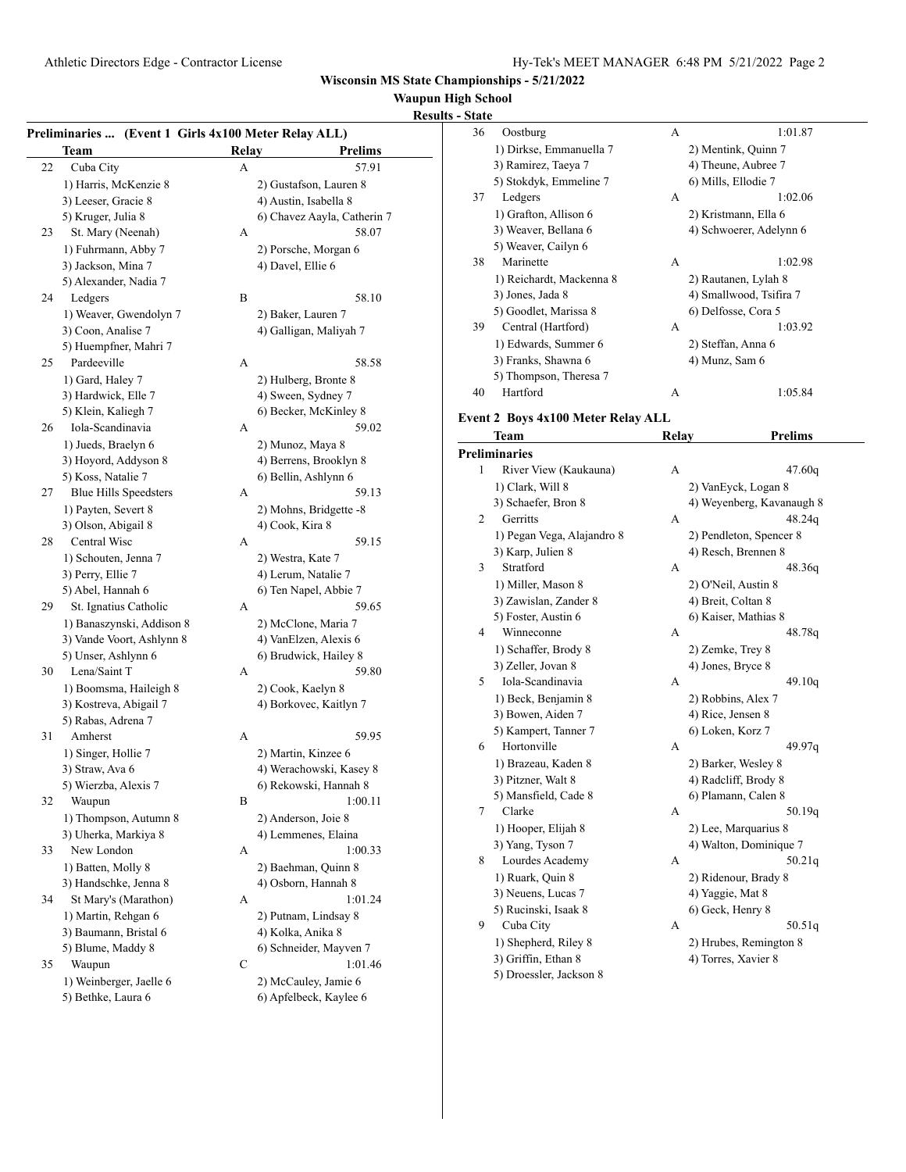## **Waupun High School**

# **Results - State Preliminaries ... (Event 1 Girls 4x100 Meter Relay ALL) Team Relay Prelims** 22 Cuba City A 57.91 1) Harris, McKenzie 8 2) Gustafson, Lauren 8 3) Leeser, Gracie 8 4) Austin, Isabella 8 5) Kruger, Julia 8 6) Chavez Aayla, Catherin 7 23 St. Mary (Neenah) A 58.07 1) Fuhrmann, Abby 7 2) Porsche, Morgan 6 3) Jackson, Mina 7 4) Davel, Ellie 6 5) Alexander, Nadia 7 24 Ledgers B 58.10 1) Weaver, Gwendolyn 7 2) Baker, Lauren 7 3) Coon, Analise 7 4) Galligan, Maliyah 7 5) Huempfner, Mahri 7 25 Pardeeville A 58.58 1) Gard, Haley 7 2) Hulberg, Bronte 8 3) Hardwick, Elle 7 4) Sween, Sydney 7 5) Klein, Kaliegh 7 6) Becker, McKinley 8 26 Iola-Scandinavia A 59.02 1) Jueds, Braelyn 6 2) Munoz, Maya 8 3) Hoyord, Addyson 8 4) Berrens, Brooklyn 8 5) Koss, Natalie 7 6) Bellin, Ashlynn 6 27 Blue Hills Speedsters A 59.13 1) Payten, Severt 8 2) Mohns, Bridgette -8 3) Olson, Abigail 8 4) Cook, Kira 8 28 Central Wisc A 59.15 1) Schouten, Jenna 7 2) Westra, Kate 7 3) Perry, Ellie 7 4) Lerum, Natalie 7 5) Abel, Hannah 6 6 6) Ten Napel, Abbie 7 29 St. Ignatius Catholic A 59.65

1) Banaszynski, Addison 8 2) McClone, Maria 7 3) Vande Voort, Ashlynn 8 4) VanElzen, Alexis 6 5) Unser, Ashlynn 6 6) Brudwick, Hailey 8 30 Lena/Saint T A 59.80 1) Boomsma, Haileigh 8 2) Cook, Kaelyn 8 3) Kostreva, Abigail 7 4) Borkovec, Kaitlyn 7 5) Rabas, Adrena 7 31 Amherst A 59.95 1) Singer, Hollie 7 2) Martin, Kinzee 6 3) Straw, Ava 6 4) Werachowski, Kasey 8 5) Wierzba, Alexis 7 6) Rekowski, Hannah 8 32 Waupun B 1:00.11 1) Thompson, Autumn 8 2) Anderson, Joie 8 3) Uherka, Markiya 8 4) Lemmenes, Elaina 33 New London A 1:00.33 1) Batten, Molly 8 2) Baehman, Quinn 8 3) Handschke, Jenna 8 4) Osborn, Hannah 8 34 St Mary's (Marathon) A 1:01.24 1) Martin, Rehgan 6 2) Putnam, Lindsay 8 3) Baumann, Bristal 6 4) Kolka, Anika 8 5) Blume, Maddy 8 6) Schneider, Mayven 7 35 Waupun C 1:01.46 1) Weinberger, Jaelle 6 2) McCauley, Jamie 6

5) Bethke, Laura 6 6) Apfelbeck, Kaylee 6

| 36 | Oostburg                           | А     | 1:01.87                   |
|----|------------------------------------|-------|---------------------------|
|    | 1) Dirkse, Emmanuella 7            |       | 2) Mentink, Quinn 7       |
|    | 3) Ramirez, Taeya 7                |       | 4) Theune, Aubree 7       |
|    | 5) Stokdyk, Emmeline 7             |       | 6) Mills, Ellodie 7       |
| 37 | Ledgers                            | А     | 1:02.06                   |
|    | 1) Grafton, Allison 6              |       | 2) Kristmann, Ella 6      |
|    | 3) Weaver, Bellana 6               |       | 4) Schwoerer, Adelynn 6   |
|    | 5) Weaver, Cailyn 6                |       |                           |
| 38 | Marinette                          | А     | 1:02.98                   |
|    | 1) Reichardt, Mackenna 8           |       | 2) Rautanen, Lylah 8      |
|    | 3) Jones, Jada 8                   |       | 4) Smallwood, Tsifira 7   |
|    | 5) Goodlet, Marissa 8              |       | 6) Delfosse, Cora 5       |
| 39 | Central (Hartford)                 | А     | 1:03.92                   |
|    | 1) Edwards, Summer 6               |       | 2) Steffan, Anna 6        |
|    | 3) Franks, Shawna 6                |       | 4) Munz, Sam 6            |
|    | 5) Thompson, Theresa 7             |       |                           |
| 40 | Hartford                           | А     | 1:05.84                   |
|    |                                    |       |                           |
|    | Event 2 Boys 4x100 Meter Relay ALL |       |                           |
|    | Team                               | Relay | Prelims                   |
|    | <b>Preliminaries</b>               |       |                           |
| 1  | River View (Kaukauna)              | А     | 47.60q                    |
|    | 1) Clark, Will 8                   |       | 2) VanEyck, Logan 8       |
|    | 3) Schaefer, Bron 8                |       | 4) Weyenberg, Kavanaugh 8 |
| 2  | Gerritts                           | А     | 48.24q                    |
|    | 1) Pegan Vega, Alajandro 8         |       | 2) Pendleton, Spencer 8   |
|    | 3) Karp, Julien 8                  |       | 4) Resch, Brennen 8       |
| 3  | Stratford                          | А     | 48.36q                    |
|    | 1) Miller, Mason 8                 |       | 2) O'Neil, Austin 8       |
|    | 3) Zawislan, Zander 8              |       | 4) Breit, Coltan 8        |
|    | 5) Foster, Austin 6                |       | 6) Kaiser, Mathias 8      |
| 4  | Winneconne                         | А     | 48.78q                    |
|    | 1) Schaffer, Brody 8               |       | 2) Zemke, Trey 8          |
|    | 3) Zeller, Jovan 8                 |       | 4) Jones, Bryce 8         |
| 5  | Iola-Scandinavia                   | А     | 49.10q                    |
|    | 1) Beck, Benjamin 8                |       | 2) Robbins, Alex 7        |
|    | 3) Bowen, Aiden 7                  |       | 4) Rice, Jensen 8         |
|    | 5) Kampert, Tanner 7               |       | 6) Loken, Korz 7          |
| 6  | Hortonville                        | А     | 49.97q                    |
|    | 1) Brazeau, Kaden 8                |       | 2) Barker, Wesley 8       |
|    | 3) Pitzner, Walt 8                 |       | 4) Radcliff, Brody 8      |
|    | 5) Mansfield, Cade 8               |       | 6) Plamann, Calen 8       |
| 7  | Clarke                             | А     | 50.19q                    |
|    | 1) Hooper, Elijah 8                |       | 2) Lee, Marquarius 8      |
|    | 3) Yang, Tyson 7                   |       | 4) Walton, Dominique 7    |
| 8  | Lourdes Academy                    | А     | 50.21q                    |
|    | 1) Ruark, Quin 8                   |       | 2) Ridenour, Brady 8      |
|    | 3) Neuens, Lucas 7                 |       | 4) Yaggie, Mat 8          |
|    | 5) Rucinski, Isaak 8               |       | 6) Geck, Henry 8          |
| 9  | Cuba City                          | А     | 50.51q                    |
|    | 1) Shepherd, Riley 8               |       | 2) Hrubes, Remington 8    |
|    |                                    |       |                           |

3) Griffin, Ethan 8 4) Torres, Xavier 8

5) Droessler, Jackson 8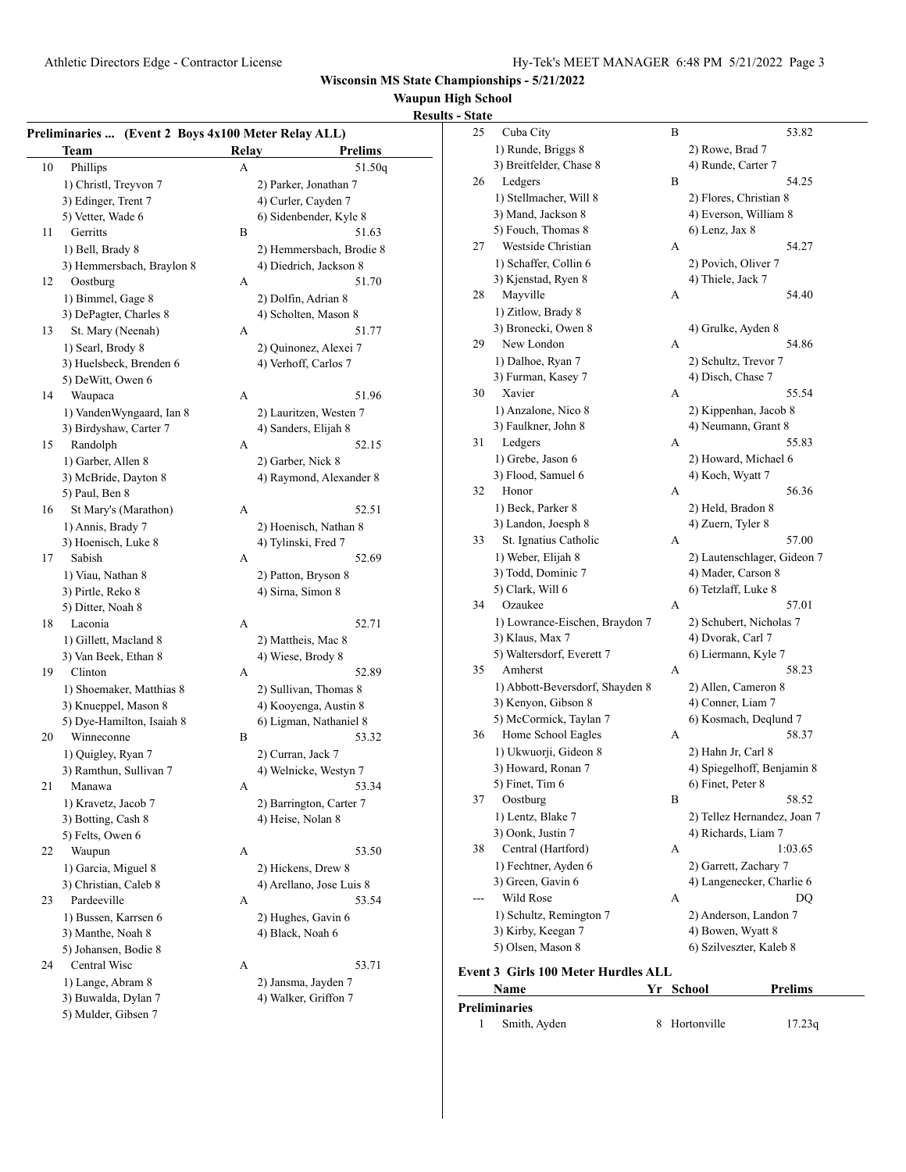# **Waupun High School**

# Athletic Directors Edge - Contractor License Hy-Tek's MEET MANAGER 6:48 PM 5/21/2022 Page 3 **Preliminaries ...** (Event 2 Boys 4x100 Meter Re **Team Relay** 10 Phillips A 1) Christl, Treyvon 7 2) Park 3) Edinger, Trent 7 4) Curl 5) Vetter, Wade 6 6 6) Side 11 Gerritts B 1) Bell, Brady 8 2) Hem 3) Hemmersbach, Braylon 8 4) Diedrich, 4 12 Oostburg A 1) Bimmel, Gage 8 2) Dolf 3) DePagter, Charles 8 4) Scho 13 St. Mary (Neenah) A 1) Searl, Brody 8 2) Quinonez, Alexandre 3) Huelsbeck, Brenden 6 4) Verh 5) DeWitt, Owen 6 14 Waupaca A 1) VandenWyngaard, Ian 8 2) Laur 3) Birdyshaw, Carter 7 4) Sand 15 Randolph A 1) Garber, Allen 8 2) Garl 3) McBride, Dayton 8 4) Ray 5) Paul, Ben 8 16 St Mary's (Marathon) A 1) Annis, Brady 7 2) Hoen 3) Hoenisch, Luke 8 4) Tylin 17 Sabish A 1) Viau, Nathan 8 2) Patton, Bryson 8 2 3) Pirtle, Reko 8 4) Sirn 5) Ditter, Noah 8 18 Laconia A 1) Gillett, Macland 8 2) Matt 3) Van Beek, Ethan 8 4) Wies 19 Clinton A 1) Shoemaker, Matthias 8 2) Sulli 3) Knueppel, Mason 8 4) Koo 5) Dye-Hamilton, Isaiah 8 6) Lign 20 Winneconne B 1) Quigley, Ryan 7 2) Curr 3) Ramthun, Sullivan 7 4) Weln 21 Manawa A 1) Kravetz, Jacob 7 2) Barr 3) Botting, Cash 8 4) Heis 5) Felts, Owen 6 22 Waupun A 53.50

## 1) Bussen, Karrsen 6 2) Hughes, Gavin 6 3) Manthe, Noah 8 4) Black, Noah 6 5) Johansen, Bodie 8 24 Central Wisc A 53.71 1) Lange, Abram 8 2) Jansma, Jayden 7

3) Buwalda, Dylan 7 4) Walker, Griffon 7

5) Mulder, Gibsen 7

|                     | <u> Results - State</u> |
|---------------------|-------------------------|
| elay ALL)           | 25                      |
| Prelims             |                         |
| 51.50q              |                         |
| cer, Jonathan 7     | 26                      |
| ler, Cayden 7       |                         |
| enbender, Kyle 8    |                         |
| 51.63               |                         |
| nmersbach, Brodie 8 | 27                      |
| drich, Jackson 8    |                         |
| 51.70               |                         |
| fin, Adrian 8       | 28                      |
| olten, Mason 8      |                         |
| 51.77               |                         |
| nonez, Alexei 7     | 29                      |
| noff, Carlos 7      |                         |
|                     |                         |
| 51.96               | 30                      |
| ritzen, Westen 7    |                         |
| ders, Elijah 8      |                         |
| 52.15               | 31                      |
| ber, Nick 8         |                         |
|                     |                         |
| mond, Alexander 8   | 32                      |
| 52.51               |                         |
|                     |                         |
| nisch, Nathan 8:    | 33                      |
| nski, Fred 7        |                         |
| 52.69               |                         |
| on, Bryson 8        |                         |
| a, Simon 8          | 34                      |
|                     |                         |
| 52.71               |                         |
| theis, Mac 8        |                         |
| se, Brody 8         | 35                      |
| 52.89               |                         |
| ivan, Thomas 8      |                         |
| yenga, Austin 8     |                         |
| man, Nathaniel 8    | 36                      |
| 53.32               |                         |
| ran, Jack 7         |                         |
| nicke, Westyn 7     |                         |
| 53.34               |                         |
| rington, Carter 7   | 37                      |
| se, Nolan 8         |                         |
|                     | 20                      |

- 1) Garcia, Miguel 8 2) Hickens, Drew 8 3) Christian, Caleb 8 4) Arellano, Jose Luis 8 23 Pardeeville A 53.54
	-
	-

| 25   | Cuba City                       | В | 53.82                       |
|------|---------------------------------|---|-----------------------------|
|      | 1) Runde, Briggs 8              |   | 2) Rowe, Brad 7             |
|      | 3) Breitfelder, Chase 8         |   | 4) Runde, Carter 7          |
| 26   | Ledgers                         | B | 54.25                       |
|      | 1) Stellmacher, Will 8          |   | 2) Flores, Christian 8      |
|      | 3) Mand, Jackson 8              |   | 4) Everson, William 8       |
|      | 5) Fouch, Thomas 8              |   | $6)$ Lenz, Jax $8$          |
| 27   | Westside Christian              | А | 54.27                       |
|      | 1) Schaffer, Collin 6           |   | 2) Povich, Oliver 7         |
|      | 3) Kjenstad, Ryen 8             |   | 4) Thiele, Jack 7           |
| 28   | Mayville                        | А | 54.40                       |
|      | 1) Zitlow, Brady 8              |   |                             |
|      | 3) Bronecki, Owen 8             |   | 4) Grulke, Ayden 8          |
| 29   | New London                      | А | 54.86                       |
|      | 1) Dalhoe, Ryan 7               |   | 2) Schultz, Trevor 7        |
|      | 3) Furman, Kasey 7              |   | 4) Disch, Chase 7           |
| 30   | Xavier                          | А | 55.54                       |
|      | 1) Anzalone, Nico 8             |   | 2) Kippenhan, Jacob 8       |
|      | 3) Faulkner, John 8             |   | 4) Neumann, Grant 8         |
| 31   | Ledgers                         | А | 55.83                       |
|      | 1) Grebe, Jason 6               |   | 2) Howard, Michael 6        |
|      | 3) Flood, Samuel 6              |   | 4) Koch, Wyatt 7            |
| 32   | Honor                           | А | 56.36                       |
|      | 1) Beck, Parker 8               |   | 2) Held, Bradon 8           |
|      | 3) Landon, Joesph 8             |   | 4) Zuern, Tyler 8           |
| 33   | St. Ignatius Catholic           | А | 57.00                       |
|      | 1) Weber, Elijah 8              |   | 2) Lautenschlager, Gideon 7 |
|      | 3) Todd, Dominic 7              |   | 4) Mader, Carson 8          |
|      | 5) Clark, Will 6                |   | 6) Tetzlaff, Luke 8         |
| 34   | Ozaukee                         | А | 57.01                       |
|      | 1) Lowrance-Eischen, Braydon 7  |   | 2) Schubert, Nicholas 7     |
|      | 3) Klaus, Max 7                 |   | 4) Dvorak, Carl 7           |
|      | 5) Waltersdorf, Everett 7       |   | 6) Liermann, Kyle 7         |
| 35   | Amherst                         | А | 58.23                       |
|      | 1) Abbott-Beversdorf, Shayden 8 |   | 2) Allen, Cameron 8         |
|      | 3) Kenyon, Gibson 8             |   | 4) Conner, Liam 7           |
|      | 5) McCormick, Taylan 7          |   | 6) Kosmach, Deqlund 7       |
| 36   | Home School Eagles              | А | 58.37                       |
|      | 1) Ukwuorji, Gideon 8           |   | 2) Hahn Jr, Carl 8          |
|      | 3) Howard, Ronan 7              |   | 4) Spiegelhoff, Benjamin 8  |
|      | 5) Finet, Tim 6                 |   | 6) Finet, Peter 8           |
| 37   | Oostburg                        | В | 58.52                       |
|      | 1) Lentz, Blake 7               |   | 2) Tellez Hernandez, Joan 7 |
|      | 3) Oonk, Justin 7               |   | 4) Richards, Liam 7         |
| 38   | Central (Hartford)              | А | 1:03.65                     |
|      | 1) Fechtner, Ayden 6            |   | 2) Garrett, Zachary 7       |
|      | 3) Green, Gavin 6               |   | 4) Langenecker, Charlie 6   |
|      | Wild Rose                       | А | DQ                          |
|      | 1) Schultz, Remington 7         |   | 2) Anderson, Landon 7       |
|      | 3) Kirby, Keegan 7              |   | 4) Bowen, Wyatt 8           |
|      | 5) Olsen, Mason 8               |   | 6) Szilveszter, Kaleb 8     |
| on t | $C$ irle 100 Motor Hurdlos ALI  |   |                             |

#### **Event 3 Girls 100 Meter Hurdles ALL**

| <b>Name</b>   | Yr School     | <b>Prelims</b> |  |
|---------------|---------------|----------------|--|
| Preliminaries |               |                |  |
| Smith, Ayden  | 8 Hortonville | 17.23q         |  |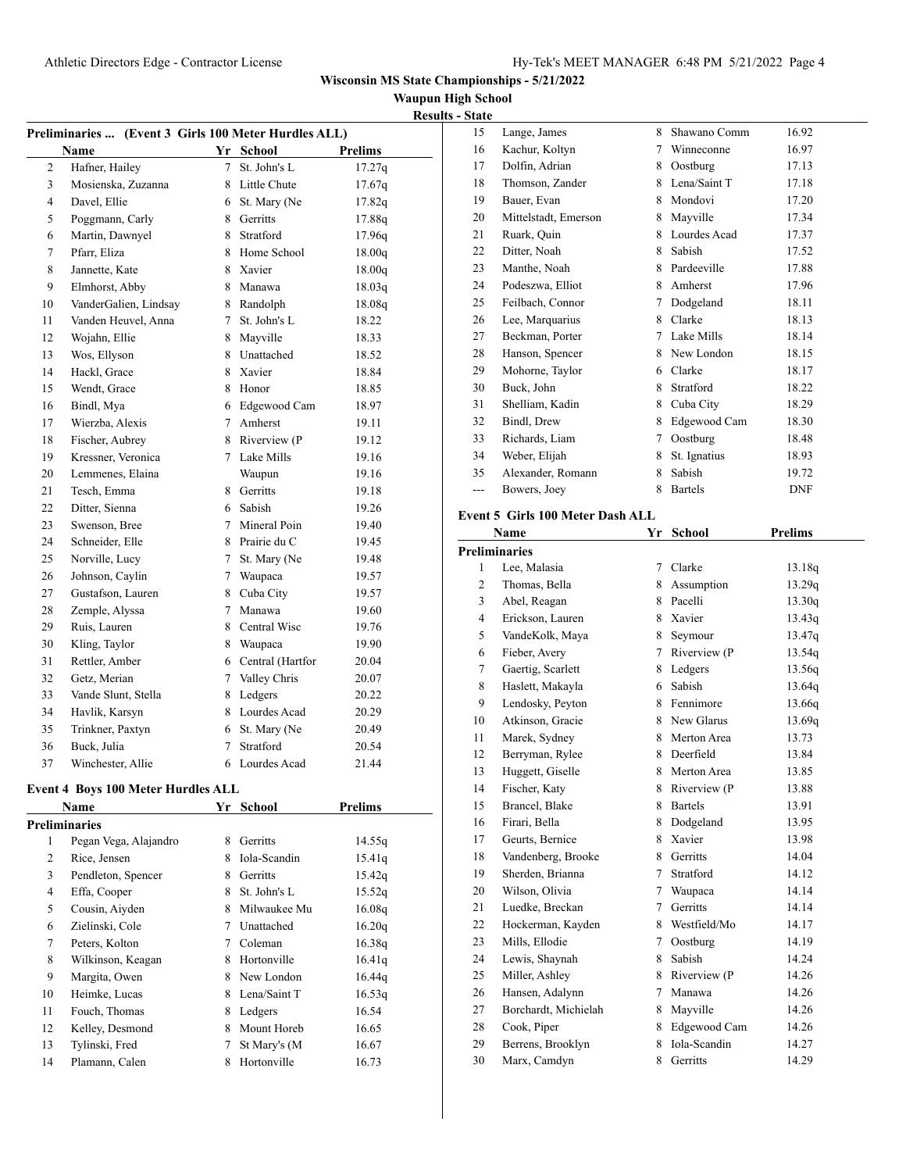15 Lange, James 8 Shawano Comm 16.92

**Wisconsin MS State Championships - 5/21/2022**

**Waupun High School**

| <b>Results - State</b> |  |
|------------------------|--|

| Preliminaries  (Event 3 Girls 100 Meter Hurdles ALL) |                       |             |                    |                |
|------------------------------------------------------|-----------------------|-------------|--------------------|----------------|
|                                                      | Name                  |             | Yr School          | <b>Prelims</b> |
| 2                                                    | Hafner, Hailey        | $\tau$      | St. John's L       | 17.27q         |
| 3                                                    | Mosienska, Zuzanna    |             | 8 Little Chute     | 17.67q         |
| 4                                                    | Davel, Ellie          | 6           | St. Mary (Ne       | 17.82q         |
| 5                                                    | Poggmann, Carly       | 8.          | Gerritts           | 17.88q         |
| 6                                                    | Martin, Dawnyel       | 8           | Stratford          | 17.96q         |
| 7                                                    | Pfarr, Eliza          | 8.          | Home School        | 18.00q         |
| 8                                                    | Jannette, Kate        | 8           | Xavier             | 18.00q         |
| 9                                                    | Elmhorst, Abby        | 8.          | Manawa             | 18.03q         |
| 10                                                   | VanderGalien, Lindsay | 8           | Randolph           | 18.08q         |
| 11                                                   | Vanden Heuvel, Anna   | $7^{\circ}$ | St. John's L       | 18.22          |
| 12                                                   | Wojahn, Ellie         | 8           | Mayville           | 18.33          |
| 13                                                   | Wos, Ellyson          | 8.          | Unattached         | 18.52          |
| 14                                                   | Hackl, Grace          |             | 8 Xavier           | 18.84          |
| 15                                                   | Wendt, Grace          |             | 8 Honor            | 18.85          |
| 16                                                   | Bindl, Mya            |             | 6 Edgewood Cam     | 18.97          |
| 17                                                   | Wierzba, Alexis       |             | 7 Amherst          | 19.11          |
| 18                                                   | Fischer, Aubrey       |             | 8 Riverview (P     | 19.12          |
| 19                                                   | Kressner, Veronica    |             | 7 Lake Mills       | 19.16          |
| 20                                                   | Lemmenes, Elaina      |             | Waupun             | 19.16          |
| 21                                                   | Tesch, Emma           |             | 8 Gerritts         | 19.18          |
| 22                                                   | Ditter, Sienna        |             | 6 Sabish           | 19.26          |
| 23                                                   | Swenson, Bree         |             | 7 Mineral Poin     | 19.40          |
| 24                                                   | Schneider, Elle       |             | 8 Prairie du C     | 19.45          |
| 25                                                   | Norville, Lucy        | $7^{\circ}$ | St. Mary (Ne       | 19.48          |
| 26                                                   | Johnson, Caylin       | $7^{\circ}$ | Waupaca            | 19.57          |
| 27                                                   | Gustafson, Lauren     | 8.          | Cuba City          | 19.57          |
| 28                                                   | Zemple, Alyssa        | 7           | Manawa             | 19.60          |
| 29                                                   | Ruis, Lauren          | 8.          | Central Wisc       | 19.76          |
| 30                                                   | Kling, Taylor         |             | 8 Waupaca          | 19.90          |
| 31                                                   | Rettler, Amber        |             | 6 Central (Hartfor | 20.04          |
| 32                                                   | Getz, Merian          |             | 7 Valley Chris     | 20.07          |
| 33                                                   | Vande Slunt, Stella   |             | 8 Ledgers          | 20.22          |
| 34                                                   | Havlik, Karsyn        | 8           | Lourdes Acad       | 20.29          |
| 35                                                   | Trinkner, Paxtyn      |             | 6 St. Mary (Ne     | 20.49          |
| 36                                                   | Buck, Julia           | 7           | Stratford          | 20.54          |
| 37                                                   | Winchester, Allie     |             | 6 Lourdes Acad     | 21.44          |
|                                                      |                       |             |                    |                |

#### **Event 4 Boys 100 Meter Hurdles ALL**

|    | Name                  | Yr | School       | Prelims |  |
|----|-----------------------|----|--------------|---------|--|
|    | Preliminaries         |    |              |         |  |
| 1  | Pegan Vega, Alajandro | 8  | Gerritts     | 14.55q  |  |
| 2  | Rice, Jensen          | 8  | Iola-Scandin | 15.41q  |  |
| 3  | Pendleton, Spencer    | 8  | Gerritts     | 15.42q  |  |
| 4  | Effa, Cooper          | 8  | St. John's L | 15.52q  |  |
| 5  | Cousin, Aiyden        | 8  | Milwaukee Mu | 16.08q  |  |
| 6  | Zielinski, Cole       |    | Unattached   | 16.20q  |  |
| 7  | Peters, Kolton        |    | Coleman      | 16.38q  |  |
| 8  | Wilkinson, Keagan     | 8  | Hortonville  | 16.41q  |  |
| 9  | Margita, Owen         | 8  | New London   | 16.44q  |  |
| 10 | Heimke, Lucas         | 8  | Lena/Saint T | 16.53q  |  |
| 11 | Fouch, Thomas         | 8  | Ledgers      | 16.54   |  |
| 12 | Kelley, Desmond       | 8  | Mount Horeb  | 16.65   |  |
| 13 | Tylinski, Fred        | 7  | St Mary's (M | 16.67   |  |
| 14 | Plamann, Calen        | 8  | Hortonville  | 16.73   |  |
|    |                       |    |              |         |  |

| 16       | Kachur, Koltyn                    | 7      | Winneconne               | 16.97          |
|----------|-----------------------------------|--------|--------------------------|----------------|
| 17       | Dolfin, Adrian                    | 8      | Oostburg                 | 17.13          |
| 18       | Thomson, Zander                   | 8      | Lena/Saint T             | 17.18          |
| 19       | Bauer, Evan                       | 8      | Mondovi                  | 17.20          |
| 20       | Mittelstadt, Emerson              | 8      | Mayville                 | 17.34          |
| 21       | Ruark, Quin                       | 8      | Lourdes Acad             | 17.37          |
| 22       | Ditter, Noah                      | 8      | Sabish                   | 17.52          |
| 23       | Manthe, Noah                      | 8      | Pardeeville              | 17.88          |
| 24       | Podeszwa, Elliot                  | 8      | Amherst                  | 17.96          |
| 25       | Feilbach, Connor                  | 7      | Dodgeland                | 18.11          |
| 26       | Lee, Marquarius                   | 8      | Clarke                   | 18.13          |
| 27       | Beckman, Porter                   | 7      | Lake Mills               | 18.14          |
| 28       | Hanson, Spencer                   | 8      | New London               | 18.15          |
| 29       | Mohorne, Taylor                   |        | 6 Clarke                 | 18.17          |
| 30       | Buck, John                        | 8      | Stratford                | 18.22          |
| 31       | Shelliam, Kadin                   | 8      | Cuba City                | 18.29          |
| 32       | Bindl, Drew                       | 8      | Edgewood Cam             | 18.30          |
| 33       | Richards, Liam                    | 7      | Oostburg                 | 18.48          |
| 34       | Weber, Elijah                     | 8      | St. Ignatius             | 18.93          |
|          | Alexander, Romann                 |        | Sabish                   |                |
| 35       |                                   | 8      |                          | 19.72          |
| ---      | Bowers, Joey                      | 8      | <b>Bartels</b>           | DNF            |
|          | Event 5 Girls 100 Meter Dash ALL  |        |                          |                |
|          | Name                              | Yr     | School                   | <b>Prelims</b> |
|          | <b>Preliminaries</b>              |        |                          |                |
| 1        | Lee, Malasia                      | 7      | Clarke                   | 13.18q         |
| 2        | Thomas, Bella                     | 8      | Assumption               | 13.29q         |
| 3        | Abel, Reagan                      | 8      | Pacelli                  | 13.30q         |
| 4        | Erickson, Lauren                  | 8      | Xavier                   | 13.43q         |
| 5        | VandeKolk, Maya                   | 8      | Seymour                  | 13.47q         |
| 6        | Fieber, Avery                     | 7      | Riverview (P             | 13.54q         |
| 7        | Gaertig, Scarlett                 | 8      | Ledgers                  | 13.56q         |
| 8        | Haslett, Makayla                  | 6      | Sabish                   | 13.64q         |
| 9        | Lendosky, Peyton                  | 8      | Fennimore                | 13.66q         |
| 10       | Atkinson, Gracie                  | 8      | New Glarus               | 13.69q         |
| 11       | Marek, Sydney                     | 8      | Merton Area              | 13.73          |
| 12       | Berryman, Rylee                   | 8      | Deerfield                | 13.84          |
| 13       | Huggett, Giselle                  | 8      | Merton Area              | 13.85          |
| 14       | Fischer, Katy                     | 8      | Riverview (P             | 13.88          |
| 15       | Brancel, Blake                    |        | 8 Bartels                | 13.91          |
| 16       | Firari, Bella                     | 8      | Dodgeland                | 13.95          |
| 17       | Geurts, Bernice                   | 8      | Xavier                   | 13.98          |
| 18       | Vandenberg, Brooke                | 8      | Gerritts                 | 14.04          |
| 19       |                                   |        |                          |                |
| 20       |                                   |        |                          |                |
|          | Sherden, Brianna                  | 7      | Stratford                | 14.12          |
|          | Wilson, Olivia                    | 7      | Waupaca                  | 14.14          |
| 21       | Luedke, Breckan                   | 7      | Gerritts                 | 14.14          |
| 22       | Hockerman, Kayden                 | 8      | Westfield/Mo             | 14.17          |
| 23       | Mills, Ellodie                    | 7      | Oostburg                 | 14.19          |
| 24       | Lewis, Shaynah                    | 8      | Sabish                   | 14.24          |
| 25       | Miller, Ashley                    | 8      | Riverview (P             | 14.26          |
| 26       | Hansen, Adalynn                   | 7      | Manawa                   | 14.26          |
| 27       | Borchardt, Michielah              | 8      | Mayville                 | 14.26          |
| 28       | Cook, Piper                       | 8      | Edgewood Cam             | 14.26          |
| 29<br>30 | Berrens, Brooklyn<br>Marx, Camdyn | 8<br>8 | Iola-Scandin<br>Gerritts | 14.27<br>14.29 |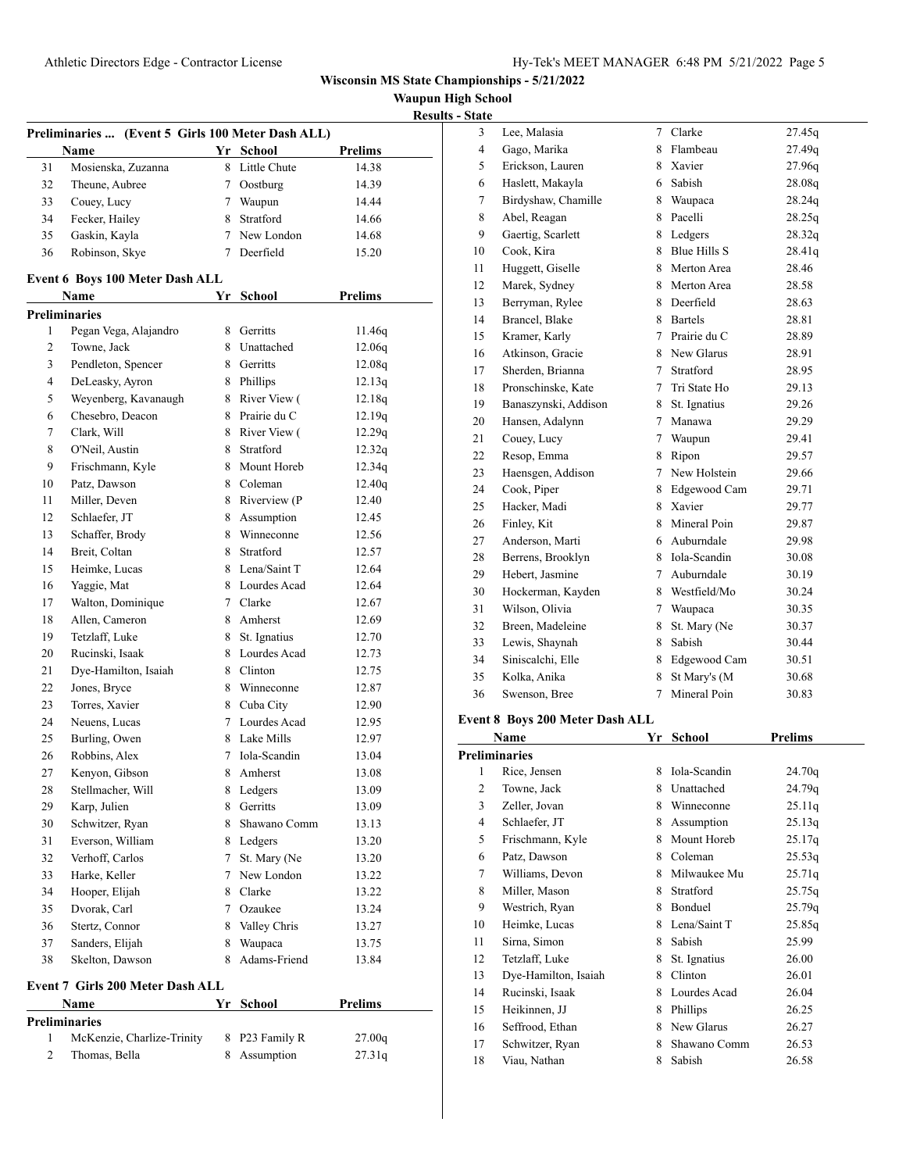**Waupun High School <u>sults - State</u>** 

|    |                                                           |    |                |                | Res |
|----|-----------------------------------------------------------|----|----------------|----------------|-----|
|    | Preliminaries  (Event 5 Girls 100 Meter Dash ALL)<br>Name |    | Yr School      | Prelims        |     |
| 31 | Mosienska, Zuzanna                                        |    | 8 Little Chute | 14.38          |     |
| 32 | Theune, Aubree                                            |    | 7 Oostburg     | 14.39          |     |
| 33 | Couey, Lucy                                               |    | 7 Waupun       | 14.44          |     |
| 34 | Fecker, Hailey                                            |    | 8 Stratford    | 14.66          |     |
| 35 | Gaskin, Kayla                                             |    | 7 New London   | 14.68          |     |
| 36 | Robinson, Skye                                            |    | 7 Deerfield    | 15.20          |     |
|    |                                                           |    |                |                |     |
|    | Event 6 Boys 100 Meter Dash ALL                           |    |                |                |     |
|    | Name                                                      | Yr | <b>School</b>  | <b>Prelims</b> |     |
|    | <b>Preliminaries</b>                                      |    |                |                |     |
| 1  | Pegan Vega, Alajandro                                     |    | 8 Gerritts     | 11.46q         |     |
| 2  | Towne, Jack                                               |    | 8 Unattached   | 12.06q         |     |
| 3  | Pendleton, Spencer                                        |    | 8 Gerritts     | 12.08q         |     |
| 4  | DeLeasky, Ayron                                           |    | 8 Phillips     | 12.13q         |     |
| 5  | Weyenberg, Kavanaugh                                      |    | 8 River View ( | 12.18q         |     |
| 6  | Chesebro, Deacon                                          |    | 8 Prairie du C | 12.19q         |     |
| 7  | Clark, Will                                               |    | 8 River View ( | 12.29q         |     |
| 8  | O'Neil, Austin                                            |    | 8 Stratford    | 12.32q         |     |
| 9  | Frischmann, Kyle                                          |    | 8 Mount Horeb  | 12.34q         |     |
| 10 | Patz, Dawson                                              |    | 8 Coleman      | 12.40q         |     |
| 11 | Miller, Deven                                             |    | 8 Riverview (P | 12.40          |     |
| 12 | Schlaefer, JT                                             |    | 8 Assumption   | 12.45          |     |
| 13 | Schaffer, Brody                                           |    | 8 Winneconne   | 12.56          |     |
| 14 | Breit, Coltan                                             |    | 8 Stratford    | 12.57          |     |
| 15 | Heimke, Lucas                                             |    | 8 Lena/Saint T | 12.64          |     |
| 16 | Yaggie, Mat                                               |    | 8 Lourdes Acad | 12.64          |     |
| 17 | Walton, Dominique                                         |    | 7 Clarke       | 12.67          |     |
| 18 | Allen, Cameron                                            |    | 8 Amherst      | 12.69          |     |
| 19 | Tetzlaff, Luke                                            |    | 8 St. Ignatius | 12.70          |     |
| 20 | Rucinski, Isaak                                           |    | 8 Lourdes Acad | 12.73          |     |
| 21 | Dye-Hamilton, Isaiah                                      |    | 8 Clinton      | 12.75          |     |
| 22 | Jones, Bryce                                              |    | 8 Winneconne   | 12.87          |     |
| 23 | Torres, Xavier                                            |    | 8 Cuba City    | 12.90          |     |
| 24 | Neuens, Lucas                                             |    | 7 Lourdes Acad | 12.95          |     |
| 25 | Burling, Owen                                             |    | 8 Lake Mills   | 12.97          |     |
| 26 | Robbins, Alex                                             |    | 7 Iola-Scandin | 13.04          |     |
| 27 | Kenyon, Gibson                                            |    | 8 Amherst      | 13.08          |     |
| 28 | Stellmacher, Will                                         | 8  | Ledgers        | 13.09          |     |
| 29 | Karp, Julien                                              |    | 8 Gerritts     | 13.09          |     |
| 30 | Schwitzer, Ryan                                           | 8  | Shawano Comm   | 13.13          |     |
| 31 | Everson, William                                          |    | 8 Ledgers      | 13.20          |     |
| 32 | Verhoff, Carlos                                           | 7  | St. Mary (Ne   | 13.20          |     |
| 33 | Harke, Keller                                             | 7  | New London     | 13.22          |     |
| 34 | Hooper, Elijah                                            |    | 8 Clarke       | 13.22          |     |
| 35 | Dvorak, Carl                                              |    | 7 Ozaukee      | 13.24          |     |
| 36 | Stertz, Connor                                            | 8  | Valley Chris   | 13.27          |     |
| 37 | Sanders, Elijah                                           | 8  | Waupaca        | 13.75          |     |
| 38 | Skelton, Dawson                                           | 8  | Adams-Friend   | 13.84          |     |
|    | <b>Event 7 Girls 200 Meter Dash ALL</b>                   |    |                |                |     |
|    | Name                                                      | Yr | <b>School</b>  | Prelims        |     |
|    | <b>Preliminaries</b>                                      |    |                |                |     |
| 1  | McKenzie, Charlize-Trinity                                |    | 8 P23 Family R | 27.00q         |     |
| 2  | Thomas, Bella                                             |    | 8 Assumption   | 27.31q         |     |

| - state              |                                        |             |                |                    |  |
|----------------------|----------------------------------------|-------------|----------------|--------------------|--|
| 3                    | Lee, Malasia                           | $7^{\circ}$ | Clarke         | 27.45q             |  |
| $\overline{4}$       | Gago, Marika                           |             | 8 Flambeau     | 27.49q             |  |
| 5                    | Erickson, Lauren                       |             | 8 Xavier       | 27.96q             |  |
| 6                    | Haslett, Makayla                       |             | 6 Sabish       | 28.08q             |  |
| 7                    | Birdyshaw, Chamille                    |             | 8 Waupaca      | 28.24q             |  |
| 8                    | Abel, Reagan                           |             | 8 Pacelli      | 28.25q             |  |
| 9                    | Gaertig, Scarlett                      |             | 8 Ledgers      | 28.32q             |  |
| 10                   | Cook, Kira                             |             | 8 Blue Hills S | 28.41q             |  |
| 11                   | Huggett, Giselle                       | 8           | Merton Area    | 28.46              |  |
| 12                   | Marek, Sydney                          | 8           | Merton Area    | 28.58              |  |
| 13                   | Berryman, Rylee                        |             | 8 Deerfield    | 28.63              |  |
| 14                   | Brancel, Blake                         |             | 8 Bartels      | 28.81              |  |
| 15                   | Kramer, Karly                          |             | 7 Prairie du C | 28.89              |  |
| 16                   | Atkinson, Gracie                       |             | 8 New Glarus   | 28.91              |  |
| 17                   | Sherden, Brianna                       |             | 7 Stratford    | 28.95              |  |
| 18                   | Pronschinske, Kate                     | $7^{\circ}$ | Tri State Ho   | 29.13              |  |
| 19                   | Banaszynski, Addison                   |             | 8 St. Ignatius | 29.26              |  |
| 20                   | Hansen, Adalynn                        |             | 7 Manawa       | 29.29              |  |
| 21                   | Couey, Lucy                            |             | 7 Waupun       | 29.41              |  |
| 22                   | Resop, Emma                            |             | 8 Ripon        | 29.57              |  |
| 23                   | Haensgen, Addison                      |             | 7 New Holstein | 29.66              |  |
| 24                   | Cook, Piper                            | 8           | Edgewood Cam   | 29.71              |  |
| 25                   | Hacker, Madi                           |             | 8 Xavier       | 29.77              |  |
| 26                   | Finley, Kit                            |             | 8 Mineral Poin | 29.87              |  |
| 27                   | Anderson, Marti                        |             | 6 Auburndale   | 29.98              |  |
| 28                   | Berrens, Brooklyn                      |             | 8 Iola-Scandin | 30.08              |  |
| 29                   | Hebert, Jasmine                        |             | 7 Auburndale   | 30.19              |  |
| 30                   | Hockerman, Kayden                      |             | 8 Westfield/Mo | 30.24              |  |
| 31                   | Wilson, Olivia                         |             | 7 Waupaca      | 30.35              |  |
| 32                   | Breen, Madeleine                       | 8           | St. Mary (Ne   | 30.37              |  |
| 33                   | Lewis, Shaynah                         |             | 8 Sabish       | 30.44              |  |
| 34                   | Siniscalchi, Elle                      |             | 8 Edgewood Cam | 30.51              |  |
| 35                   | Kolka, Anika                           | 8           | St Mary's (M   | 30.68              |  |
| 36                   | Swenson, Bree                          | 7           | Mineral Poin   | 30.83              |  |
|                      | <b>Event 8 Boys 200 Meter Dash ALL</b> |             |                |                    |  |
|                      | Name                                   |             | Yr School      | <b>Prelims</b>     |  |
| <b>Preliminaries</b> |                                        |             |                |                    |  |
|                      | 1 Rice Jensen                          |             | 8 Iola-Scandin | 24.70 <sub>0</sub> |  |

|                | Preliminaries        |   |              |        |  |
|----------------|----------------------|---|--------------|--------|--|
| 1              | Rice, Jensen         | 8 | Iola-Scandin | 24.70q |  |
| $\overline{c}$ | Towne, Jack          | 8 | Unattached   | 24.79q |  |
| 3              | Zeller, Jovan        | 8 | Winneconne   | 25.11q |  |
| 4              | Schlaefer, JT        | 8 | Assumption   | 25.13q |  |
| 5              | Frischmann, Kyle     | 8 | Mount Horeb  | 25.17q |  |
| 6              | Patz, Dawson         | 8 | Coleman      | 25.53q |  |
| 7              | Williams, Devon      | 8 | Milwaukee Mu | 25.71q |  |
| 8              | Miller, Mason        | 8 | Stratford    | 25.75q |  |
| 9              | Westrich, Ryan       | 8 | Bonduel      | 25.79q |  |
| 10             | Heimke, Lucas        | 8 | Lena/Saint T | 25.85q |  |
| 11             | Sirna, Simon         | 8 | Sabish       | 25.99  |  |
| 12             | Tetzlaff, Luke       | 8 | St. Ignatius | 26.00  |  |
| 13             | Dye-Hamilton, Isaiah | 8 | Clinton      | 26.01  |  |
| 14             | Rucinski, Isaak      | 8 | Lourdes Acad | 26.04  |  |
| 15             | Heikinnen, JJ        | 8 | Phillips     | 26.25  |  |
| 16             | Seffrood, Ethan      | 8 | New Glarus   | 26.27  |  |
| 17             | Schwitzer, Ryan      | 8 | Shawano Comm | 26.53  |  |
| 18             | Viau, Nathan         | 8 | Sabish       | 26.58  |  |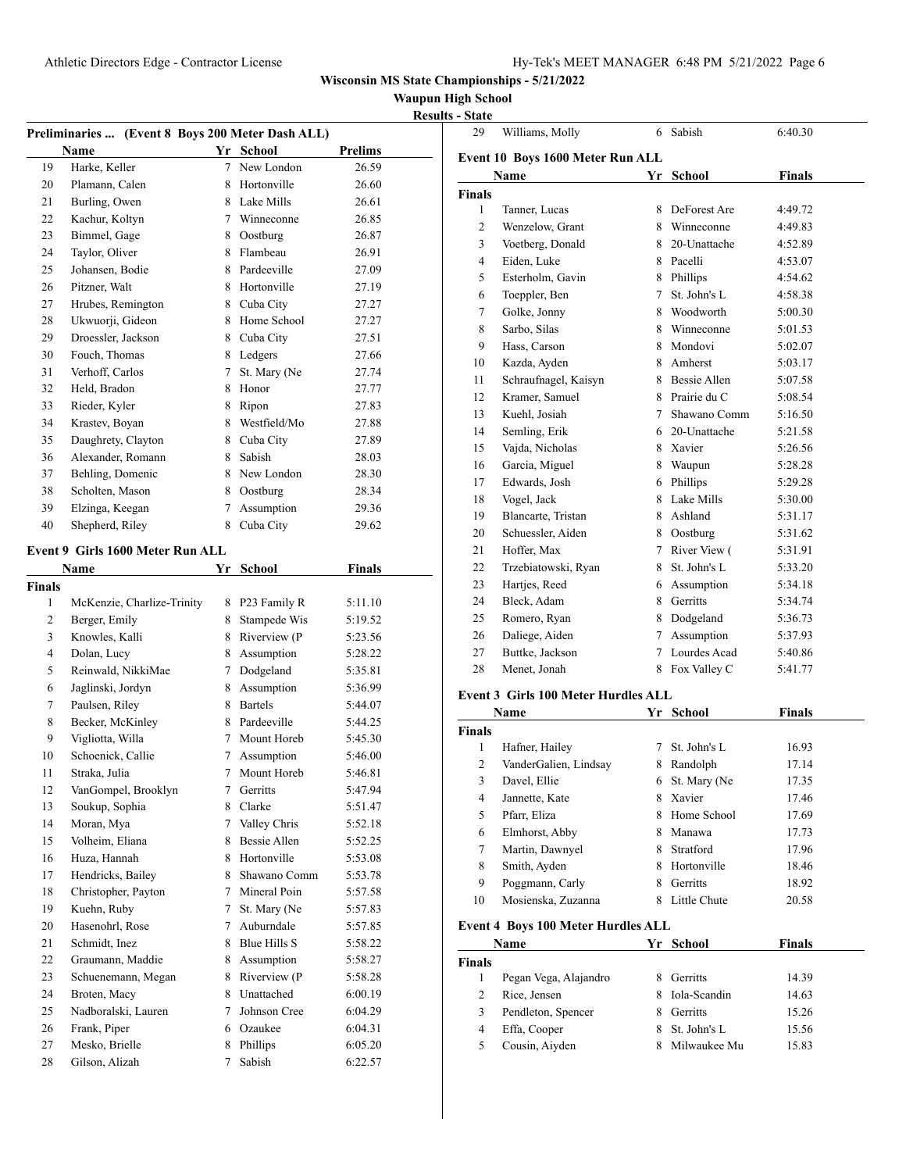**Waupun High School**

|                |                                                  |   |                     |                | <b>Results - State</b> |
|----------------|--------------------------------------------------|---|---------------------|----------------|------------------------|
|                | Preliminaries  (Event 8 Boys 200 Meter Dash ALL) |   |                     |                | 29                     |
|                | Name                                             |   | Yr School           | <b>Prelims</b> | Event                  |
| 19             | Harke, Keller                                    | 7 | New London          | 26.59          |                        |
| 20             | Plamann, Calen                                   | 8 | Hortonville         | 26.60          | <b>Finals</b>          |
| 21             | Burling, Owen                                    | 8 | Lake Mills          | 26.61          | 1                      |
| 22             | Kachur, Koltyn                                   | 7 | Winneconne          | 26.85          | 2                      |
| 23             | Bimmel, Gage                                     | 8 | Oostburg            | 26.87          | 3                      |
| 24             | Taylor, Oliver                                   | 8 | Flambeau            | 26.91          | 4                      |
| 25             | Johansen, Bodie                                  | 8 | Pardeeville         | 27.09          | 5                      |
| 26             | Pitzner, Walt                                    | 8 | Hortonville         | 27.19          | 6                      |
| 27             | Hrubes, Remington                                | 8 | Cuba City           | 27.27          | 7                      |
| 28             | Ukwuorji, Gideon                                 | 8 | Home School         | 27.27          | 8                      |
| 29             | Droessler, Jackson                               | 8 | Cuba City           | 27.51          | 9                      |
| 30             | Fouch, Thomas                                    | 8 | Ledgers             | 27.66          | 10                     |
| 31             | Verhoff, Carlos                                  | 7 | St. Mary (Ne        | 27.74          | 11                     |
| 32             | Held, Bradon                                     | 8 | Honor               | 27.77          | 12                     |
| 33             | Rieder, Kyler                                    | 8 | Ripon               | 27.83          | 13                     |
| 34             | Krastev, Boyan                                   | 8 | Westfield/Mo        | 27.88          | 14                     |
| 35             | Daughrety, Clayton                               | 8 | Cuba City           | 27.89          | 15                     |
| 36             | Alexander, Romann                                | 8 | Sabish              | 28.03          | 16                     |
| 37             | Behling, Domenic                                 | 8 | New London          | 28.30          | 17                     |
| 38             | Scholten, Mason                                  | 8 | Oostburg            | 28.34          |                        |
| 39             | Elzinga, Keegan                                  | 7 | Assumption          | 29.36          | 18                     |
| 40             | Shepherd, Riley                                  | 8 | Cuba City           | 29.62          | 19                     |
|                |                                                  |   |                     |                | 20                     |
|                | Event 9 Girls 1600 Meter Run ALL                 |   |                     |                | 21                     |
|                | Name                                             |   | Yr School           | <b>Finals</b>  | 22                     |
| <b>Finals</b>  |                                                  |   |                     |                | 23                     |
| 1              | McKenzie, Charlize-Trinity                       | 8 | P23 Family R        | 5:11.10        | 24                     |
| $\overline{2}$ | Berger, Emily                                    | 8 | Stampede Wis        | 5:19.52        | 25                     |
| 3              | Knowles, Kalli                                   | 8 | Riverview (P        | 5:23.56        | 26                     |
| 4              | Dolan, Lucy                                      | 8 | Assumption          | 5:28.22        | 27                     |
| 5              | Reinwald, NikkiMae                               | 7 | Dodgeland           | 5:35.81        | 28                     |
| 6              | Jaglinski, Jordyn                                | 8 | Assumption          | 5:36.99        | Event                  |
| 7              | Paulsen, Riley                                   | 8 | <b>Bartels</b>      | 5:44.07        |                        |
| 8              | Becker, McKinley                                 | 8 | Pardeeville         | 5:44.25        | Finals                 |
| 9              | Vigliotta, Willa                                 | 7 | Mount Horeb         | 5:45.30        | 1                      |
| 10             | Schoenick, Callie                                | 7 | Assumption          | 5:46.00        | 2                      |
| 11             | Straka, Julia                                    |   | 7 Mount Horeb       | 5:46.81        | 3                      |
| 12             | VanGompel, Brooklyn                              | 7 | Gerritts            | 5:47.94        | 4                      |
| 13             | Soukup, Sophia                                   | 8 | Clarke              | 5:51.47        | 5                      |
| 14             | Moran, Mya                                       | 7 | Valley Chris        | 5:52.18        | 6                      |
| 15             | Volheim, Eliana                                  | 8 | Bessie Allen        | 5:52.25        | 7                      |
| 16             | Huza, Hannah                                     | 8 | Hortonville         | 5:53.08        | 8                      |
| 17             | Hendricks, Bailey                                | 8 | Shawano Comm        | 5:53.78        | 9                      |
| 18             | Christopher, Payton                              | 7 | Mineral Poin        | 5:57.58        | 10                     |
| 19             | Kuehn, Ruby                                      | 7 | St. Mary (Ne        | 5:57.83        |                        |
| 20             | Hasenohrl, Rose                                  | 7 | Auburndale          | 5:57.85        | Event                  |
| 21             | Schmidt, Inez                                    | 8 | <b>Blue Hills S</b> | 5:58.22        |                        |
| 22             | Graumann, Maddie                                 | 8 | Assumption          | 5:58.27        | Finals                 |
| 23             | Schuenemann, Megan                               | 8 | Riverview (P        | 5:58.28        | 1                      |
| 24             | Broten, Macy                                     | 8 | Unattached          | 6:00.19        | 2                      |
| 25             | Nadboralski, Lauren                              | 7 | Johnson Cree        | 6:04.29        | 3                      |
| 26             | Frank, Piper                                     | 6 | Ozaukee             | 6:04.31        | 4                      |
| 27             | Mesko, Brielle                                   | 8 | Phillips            | 6:05.20        | 5                      |
| 28             | Gilson, Alizah                                   | 7 | Sabish              | 6:22.57        |                        |
|                |                                                  |   |                     |                |                        |

| 29             | Williams, Molly                            | 6      | Sabish         | 6:40.30       |  |  |  |  |
|----------------|--------------------------------------------|--------|----------------|---------------|--|--|--|--|
|                | Event 10 Boys 1600 Meter Run ALL           |        |                |               |  |  |  |  |
|                | Name                                       | Yr     | <b>School</b>  | <b>Finals</b> |  |  |  |  |
| <b>Finals</b>  |                                            |        |                |               |  |  |  |  |
| 1              | Tanner, Lucas                              | 8      | DeForest Are   | 4:49.72       |  |  |  |  |
| $\overline{c}$ | Wenzelow, Grant                            |        | 8 Winneconne   | 4:49.83       |  |  |  |  |
| 3              | Voetberg, Donald                           | 8.     | 20-Unattache   | 4:52.89       |  |  |  |  |
| $\overline{4}$ | Eiden, Luke                                |        | 8 Pacelli      | 4:53.07       |  |  |  |  |
| 5              | Esterholm, Gavin                           | 8      | Phillips       | 4:54.62       |  |  |  |  |
| 6              | Toeppler, Ben                              | 7      | St. John's L   | 4:58.38       |  |  |  |  |
| 7              | Golke, Jonny                               | 8      | Woodworth      | 5:00.30       |  |  |  |  |
| 8              | Sarbo, Silas                               | 8.     | Winneconne     | 5:01.53       |  |  |  |  |
| 9              | Hass, Carson                               | 8.     | Mondovi        | 5:02.07       |  |  |  |  |
| 10             | Kazda, Ayden                               |        | 8 Amherst      | 5:03.17       |  |  |  |  |
| 11             | Schraufnagel, Kaisyn                       |        | 8 Bessie Allen | 5:07.58       |  |  |  |  |
| 12             | Kramer, Samuel                             |        | 8 Prairie du C | 5:08.54       |  |  |  |  |
| 13             | Kuehl, Josiah                              | 7      | Shawano Comm   | 5:16.50       |  |  |  |  |
| 14             | Semling, Erik                              |        | 6 20-Unattache | 5:21.58       |  |  |  |  |
| 15             | Vajda, Nicholas                            |        | 8 Xavier       | 5:26.56       |  |  |  |  |
| 16             | Garcia, Miguel                             | 8.     | Waupun         | 5:28.28       |  |  |  |  |
| 17             | Edwards, Josh                              |        | 6 Phillips     | 5:29.28       |  |  |  |  |
| 18             | Vogel, Jack                                |        | 8 Lake Mills   | 5:30.00       |  |  |  |  |
| 19             | Blancarte, Tristan                         |        | 8 Ashland      | 5:31.17       |  |  |  |  |
| 20             | Schuessler, Aiden                          | 8.     | Oostburg       | 5:31.62       |  |  |  |  |
| 21             | Hoffer, Max                                | $\tau$ | River View (   | 5:31.91       |  |  |  |  |
| 22             | Trzebiatowski, Ryan                        | 8      | St. John's L   | 5:33.20       |  |  |  |  |
| 23             | Hartjes, Reed                              |        | 6 Assumption   | 5:34.18       |  |  |  |  |
| 24             | Bleck, Adam                                | 8      | Gerritts       | 5:34.74       |  |  |  |  |
| 25             | Romero, Ryan                               | 8      | Dodgeland      | 5:36.73       |  |  |  |  |
| 26             | Daliege, Aiden                             | 7      | Assumption     | 5:37.93       |  |  |  |  |
| 27             | Buttke, Jackson                            | 7      | Lourdes Acad   | 5:40.86       |  |  |  |  |
| 28             | Menet, Jonah                               |        | 8 Fox Valley C | 5:41.77       |  |  |  |  |
|                | <b>Event 3 Girls 100 Meter Hurdles ALL</b> |        |                |               |  |  |  |  |

# **Event 3 Girls 100 Meter Hurdles ALL**

| Name          |                                           |    | <b>School</b> | Finals |  |
|---------------|-------------------------------------------|----|---------------|--------|--|
| <b>Finals</b> |                                           |    |               |        |  |
| 1             | Hafner, Hailey                            | 7  | St. John's L  | 16.93  |  |
| 2             | VanderGalien, Lindsay                     | 8  | Randolph      | 17.14  |  |
| 3             | Davel, Ellie                              | 6  | St. Mary (Ne  | 17.35  |  |
| 4             | Jannette, Kate                            | 8  | Xavier        | 17.46  |  |
| 5             | Pfarr, Eliza                              | 8  | Home School   | 17.69  |  |
| 6             | Elmhorst, Abby                            | 8  | Manawa        | 17.73  |  |
| 7             | Martin, Dawnyel                           | 8  | Stratford     | 17.96  |  |
| 8             | Smith, Ayden                              | 8  | Hortonville   | 18.46  |  |
| 9             | Poggmann, Carly                           | 8  | Gerritts      | 18.92  |  |
| 10            | Mosienska, Zuzanna                        | 8  | Little Chute  | 20.58  |  |
|               | <b>Event 4 Boys 100 Meter Hurdles ALL</b> |    |               |        |  |
|               | Name                                      | Yr | School        | Finals |  |
| <b>Finals</b> |                                           |    |               |        |  |
| 1             | Pegan Vega, Alajandro                     | 8  | Gerritts      | 14.39  |  |
| 2             | Rice, Jensen                              | 8  | Iola-Scandin  | 14.63  |  |
| 3             | Pendleton, Spencer                        | 8  | Gerritts      | 15.26  |  |
| 4             | Effa, Cooper                              | 8  | St. John's L  | 15.56  |  |
| 5             | Cousin, Aiyden                            | 8  | Milwaukee Mu  | 15.83  |  |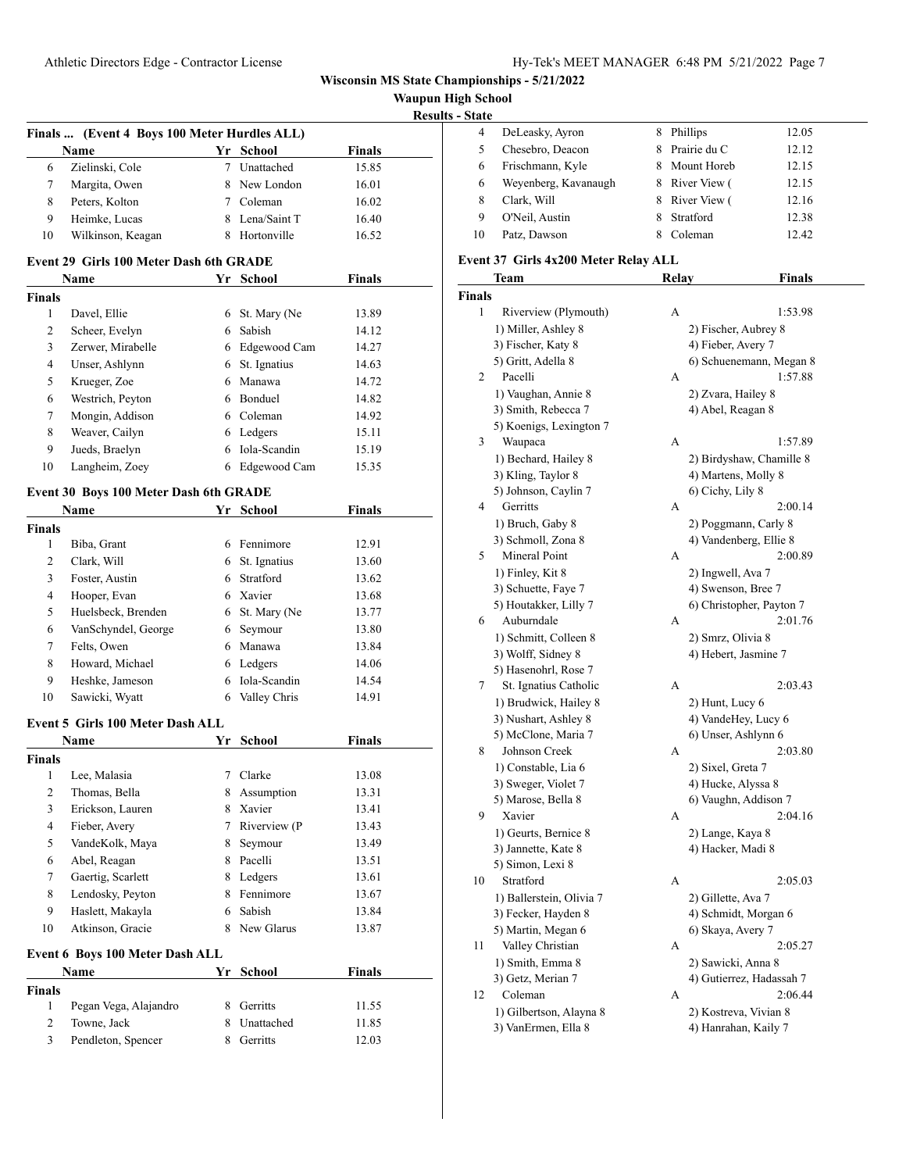| <b>Waupun High School</b> |  |  |
|---------------------------|--|--|
|---------------------------|--|--|

| <b>Results - State</b> |  |  |
|------------------------|--|--|
|                        |  |  |

|                               |                                                             |    |                |               | <b>Results - St:</b> |
|-------------------------------|-------------------------------------------------------------|----|----------------|---------------|----------------------|
|                               | Finals  (Event 4 Boys 100 Meter Hurdles ALL)<br><b>Name</b> |    | Yr School      | Finals        |                      |
| 6                             | Zielinski, Cole                                             |    | 7 Unattached   | 15.85         |                      |
| 7                             | Margita, Owen                                               |    | 8 New London   | 16.01         |                      |
| 8                             | Peters, Kolton                                              |    | 7 Coleman      | 16.02         |                      |
| 9                             | Heimke, Lucas                                               |    | 8 Lena/Saint T | 16.40         |                      |
| 10                            | Wilkinson, Keagan                                           |    | 8 Hortonville  | 16.52         |                      |
|                               |                                                             |    |                |               |                      |
|                               | Event 29 Girls 100 Meter Dash 6th GRADE                     |    |                |               |                      |
|                               | <b>Name</b>                                                 |    | Yr School      | <b>Finals</b> |                      |
| <b>Finals</b><br>$\mathbf{1}$ |                                                             |    |                |               |                      |
|                               | Davel, Ellie                                                |    | 6 St. Mary (Ne | 13.89         |                      |
| $\overline{2}$                | Scheer, Evelyn                                              |    | 6 Sabish       | 14.12         |                      |
| 3                             | Zerwer, Mirabelle                                           |    | 6 Edgewood Cam | 14.27         |                      |
| $\overline{4}$                | Unser, Ashlynn                                              | 6  | St. Ignatius   | 14.63         |                      |
| 5                             | Krueger, Zoe                                                |    | 6 Manawa       | 14.72         |                      |
| 6                             | Westrich, Peyton                                            |    | 6 Bonduel      | 14.82         |                      |
| 7                             | Mongin, Addison                                             |    | 6 Coleman      | 14.92         |                      |
| 8                             | Weaver, Cailyn                                              |    | 6 Ledgers      | 15.11         |                      |
| 9                             | Jueds, Braelyn                                              |    | 6 Iola-Scandin | 15.19         |                      |
| 10                            | Langheim, Zoey                                              |    | 6 Edgewood Cam | 15.35         |                      |
|                               | Event 30 Boys 100 Meter Dash 6th GRADE                      |    |                |               |                      |
|                               | Name                                                        |    | Yr School      | <b>Finals</b> |                      |
| <b>Finals</b>                 |                                                             |    |                |               |                      |
| 1                             | Biba, Grant                                                 |    | 6 Fennimore    | 12.91         |                      |
| $\overline{2}$                | Clark, Will                                                 |    | 6 St. Ignatius | 13.60         |                      |
| 3                             | Foster, Austin                                              |    | 6 Stratford    | 13.62         |                      |
| 4                             | Hooper, Evan                                                |    | 6 Xavier       | 13.68         |                      |
| 5                             | Huelsbeck, Brenden                                          |    | 6 St. Mary (Ne | 13.77         |                      |
| 6                             | VanSchyndel, George                                         |    | 6 Seymour      | 13.80         |                      |
| 7                             | Felts, Owen                                                 |    | 6 Manawa       | 13.84         |                      |
| 8                             | Howard, Michael                                             |    | 6 Ledgers      | 14.06         |                      |
| 9                             | Heshke, Jameson                                             |    | 6 Iola-Scandin | 14.54         |                      |
| 10                            | Sawicki, Wyatt                                              |    | 6 Valley Chris | 14.91         |                      |
|                               | Event 5 Girls 100 Meter Dash ALL                            |    |                |               |                      |
|                               | <b>Name</b>                                                 |    | Yr School      | Finals        |                      |
| <b>Finals</b>                 |                                                             |    |                |               |                      |
|                               | 1 Lee, Malasia                                              |    | 7 Clarke       | 13.08         |                      |
| $\mathbf{2}$                  | Thomas, Bella                                               |    | 8 Assumption   | 13.31         |                      |
| 3                             | Erickson, Lauren                                            | 8  | Xavier         | 13.41         |                      |
| $\overline{\mathcal{L}}$      | Fieber, Avery                                               | 7  | Riverview (P   | 13.43         |                      |
| 5                             | VandeKolk, Maya                                             | 8. | Seymour        | 13.49         |                      |
| 6                             | Abel, Reagan                                                |    | 8 Pacelli      | 13.51         |                      |
| 7                             | Gaertig, Scarlett                                           |    | 8 Ledgers      | 13.61         |                      |
| 8                             | Lendosky, Peyton                                            |    | 8 Fennimore    | 13.67         |                      |
| 9                             | Haslett, Makayla                                            | 6  | Sabish         | 13.84         |                      |
| 10                            | Atkinson, Gracie                                            |    | 8 New Glarus   | 13.87         |                      |
|                               |                                                             |    |                |               |                      |
|                               | Event 6 Boys 100 Meter Dash ALL<br>Name                     |    |                | <b>Finals</b> |                      |
| <b>Finals</b>                 |                                                             |    | Yr School      |               |                      |
| $\mathbf{1}$                  | Pegan Vega, Alajandro                                       | 8. | Gerritts       | 11.55         |                      |
| $\overline{c}$                | Towne, Jack                                                 | 8  | Unattached     | 11.85         |                      |
| 3                             | Pendleton, Spencer                                          | 8. | Gerritts       | 12.03         |                      |
|                               |                                                             |    |                |               |                      |

| .  |                      |    |              |       |
|----|----------------------|----|--------------|-------|
| 4  | DeLeasky, Ayron      | 8  | Phillips     | 12.05 |
|    | Chesebro, Deacon     | 8. | Prairie du C | 12.12 |
| 6  | Frischmann, Kyle     |    | Mount Horeb  | 12.15 |
| 6  | Weyenberg, Kavanaugh | 8. | River View ( | 12.15 |
| 8  | Clark, Will          | 8  | River View ( | 12.16 |
| 9  | O'Neil, Austin       | 8  | Stratford    | 12.38 |
| 10 | Patz, Dawson         |    | Coleman      | 12.42 |
|    |                      |    |              |       |

#### **Event 37 Girls 4x200 Meter Relay ALL**

|      | <b>Team</b>              | Relay | Finals                   |
|------|--------------------------|-------|--------------------------|
| ıals |                          |       |                          |
| 1    | Riverview (Plymouth)     | А     | 1:53.98                  |
|      | 1) Miller, Ashley 8      |       | 2) Fischer, Aubrey 8     |
|      | 3) Fischer, Katy 8       |       | 4) Fieber, Avery 7       |
|      | 5) Gritt, Adella 8       |       | 6) Schuenemann, Megan 8  |
| 2    | Pacelli                  | А     | 1:57.88                  |
|      | 1) Vaughan, Annie 8      |       | 2) Zvara, Hailey 8       |
|      | 3) Smith, Rebecca 7      |       | 4) Abel, Reagan 8        |
|      | 5) Koenigs, Lexington 7  |       |                          |
| 3    | Waupaca                  | A     | 1:57.89                  |
|      | 1) Bechard, Hailey 8     |       | 2) Birdyshaw, Chamille 8 |
|      | 3) Kling, Taylor 8       |       | 4) Martens, Molly 8      |
|      | 5) Johnson, Caylin 7     |       | 6) Cichy, Lily 8         |
| 4    | Gerritts                 | А     | 2:00.14                  |
|      | 1) Bruch, Gaby 8         |       | 2) Poggmann, Carly 8     |
|      | 3) Schmoll, Zona 8       |       | 4) Vandenberg, Ellie 8   |
| 5    | Mineral Point            | А     | 2:00.89                  |
|      | 1) Finley, Kit 8         |       | 2) Ingwell, Ava 7        |
|      | 3) Schuette, Faye 7      |       | 4) Swenson, Bree 7       |
|      | 5) Houtakker, Lilly 7    |       | 6) Christopher, Payton 7 |
| 6    | Auburndale               | А     | 2:01.76                  |
|      | 1) Schmitt, Colleen 8    |       | 2) Smrz, Olivia 8        |
|      | 3) Wolff, Sidney 8       |       | 4) Hebert, Jasmine 7     |
|      | 5) Hasenohrl, Rose 7     |       |                          |
| 7    | St. Ignatius Catholic    | A     | 2:03.43                  |
|      | 1) Brudwick, Hailey 8    |       | 2) Hunt, Lucy 6          |
|      | 3) Nushart, Ashley 8     |       | 4) VandeHey, Lucy 6      |
|      | 5) McClone, Maria 7      |       | 6) Unser, Ashlynn 6      |
| 8    | Johnson Creek            | A     | 2:03.80                  |
|      | 1) Constable, Lia 6      |       | 2) Sixel, Greta 7        |
|      | 3) Sweger, Violet 7      |       | 4) Hucke, Alyssa 8       |
|      | 5) Marose, Bella 8       |       | 6) Vaughn, Addison 7     |
| 9    | Xavier                   | А     | 2:04.16                  |
|      | 1) Geurts, Bernice 8     |       | 2) Lange, Kaya 8         |
|      | 3) Jannette, Kate 8      |       | 4) Hacker, Madi 8        |
|      | 5) Simon, Lexi 8         |       |                          |
| 10   | Stratford                | А     | 2:05.03                  |
|      | 1) Ballerstein, Olivia 7 |       | 2) Gillette, Ava 7       |
|      | 3) Fecker, Hayden 8      |       | 4) Schmidt, Morgan 6     |
|      | 5) Martin, Megan 6       |       | 6) Skaya, Avery 7        |
| 11   | Valley Christian         | A     | 2:05.27                  |
|      | 1) Smith, Emma 8         |       | 2) Sawicki, Anna 8       |
|      | 3) Getz, Merian 7        |       | 4) Gutierrez, Hadassah 7 |
| 12   | Coleman                  | А     | 2:06.44                  |
|      | 1) Gilbertson, Alayna 8  |       | 2) Kostreva, Vivian 8    |
|      | 3) VanErmen, Ella 8      |       | 4) Hanrahan, Kaily 7     |
|      |                          |       |                          |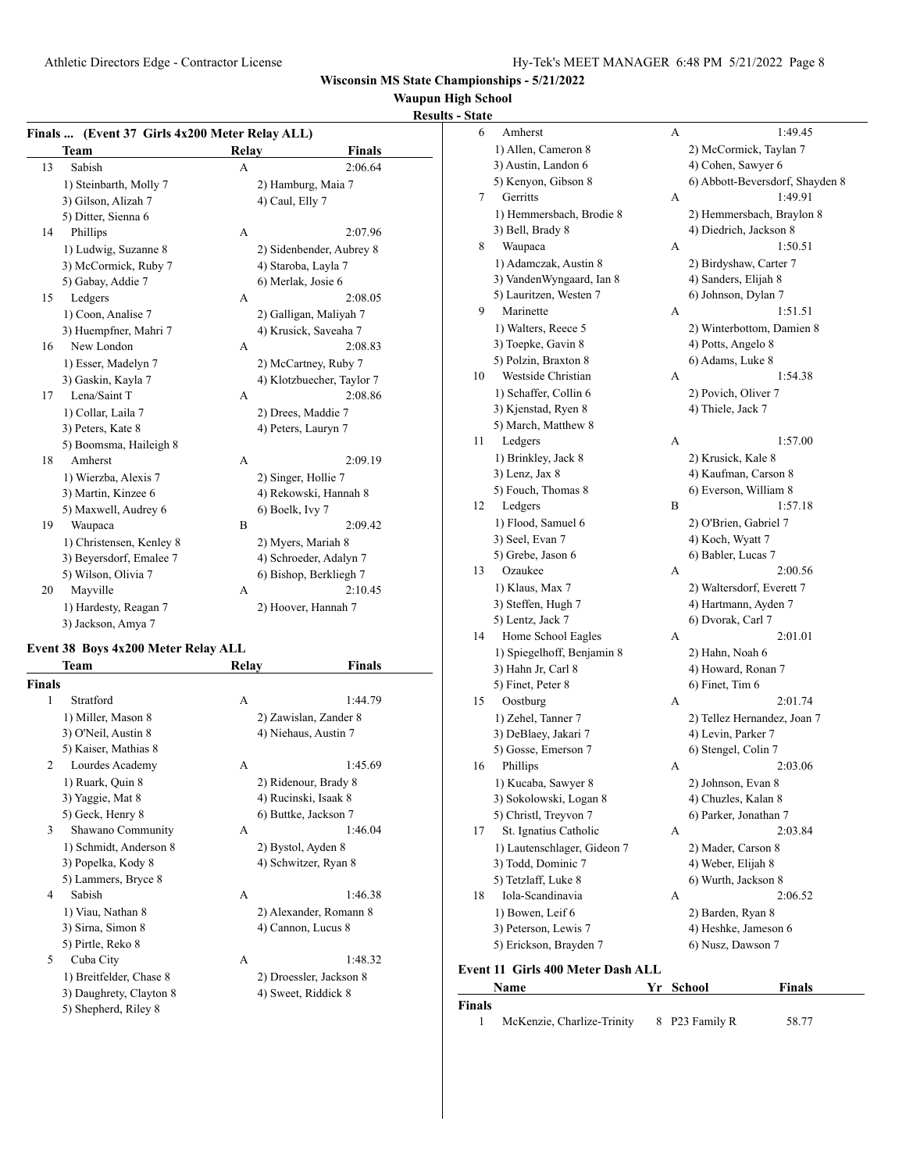# **Waupun High School**

# **Results - State**

**Finals**

| Finals  (Event 37 Girls 4x200 Meter Relay ALL) |                          |       |                           |  |  |  |
|------------------------------------------------|--------------------------|-------|---------------------------|--|--|--|
|                                                | Team                     | Relay | <b>Finals</b>             |  |  |  |
| 13                                             | Sabish                   | A     | 2:06.64                   |  |  |  |
|                                                | 1) Steinbarth, Molly 7   |       | 2) Hamburg, Maia 7        |  |  |  |
|                                                | 3) Gilson, Alizah 7      |       | 4) Caul, Elly 7           |  |  |  |
|                                                | 5) Ditter, Sienna 6      |       |                           |  |  |  |
| 14                                             | Phillips                 | A     | 2:07.96                   |  |  |  |
|                                                | 1) Ludwig, Suzanne 8     |       | 2) Sidenbender, Aubrey 8  |  |  |  |
|                                                | 3) McCormick, Ruby 7     |       | 4) Staroba, Layla 7       |  |  |  |
|                                                | 5) Gabay, Addie 7        |       | 6) Merlak, Josie 6        |  |  |  |
| 15                                             | Ledgers                  | А     | 2:08.05                   |  |  |  |
|                                                | 1) Coon, Analise 7       |       | 2) Galligan, Maliyah 7    |  |  |  |
|                                                | 3) Huempfner, Mahri 7    |       | 4) Krusick, Saveaha 7     |  |  |  |
| 16                                             | New London               | A     | 2:08.83                   |  |  |  |
|                                                | 1) Esser, Madelyn 7      |       | 2) McCartney, Ruby 7      |  |  |  |
|                                                | 3) Gaskin, Kayla 7       |       | 4) Klotzbuecher, Taylor 7 |  |  |  |
| 17                                             | Lena/Saint T             | A     | 2:08.86                   |  |  |  |
|                                                | 1) Collar, Laila 7       |       | 2) Drees, Maddie 7        |  |  |  |
|                                                | 3) Peters, Kate 8        |       | 4) Peters, Lauryn 7       |  |  |  |
|                                                | 5) Boomsma, Haileigh 8   |       |                           |  |  |  |
| 18                                             | Amherst                  | A     | 2:09.19                   |  |  |  |
|                                                | 1) Wierzba, Alexis 7     |       | 2) Singer, Hollie 7       |  |  |  |
|                                                | 3) Martin, Kinzee 6      |       | 4) Rekowski, Hannah 8     |  |  |  |
|                                                | 5) Maxwell, Audrey 6     |       | 6) Boelk, Ivy 7           |  |  |  |
| 19                                             | Waupaca                  | B     | 2:09.42                   |  |  |  |
|                                                | 1) Christensen, Kenley 8 |       | 2) Myers, Mariah 8        |  |  |  |
|                                                | 3) Beyersdorf, Emalee 7  |       | 4) Schroeder, Adalyn 7    |  |  |  |
|                                                | 5) Wilson, Olivia 7      |       | 6) Bishop, Berkliegh 7    |  |  |  |
| 20                                             | Mayville                 | А     | 2:10.45                   |  |  |  |
|                                                | 1) Hardesty, Reagan 7    |       | 2) Hoover, Hannah 7       |  |  |  |
|                                                | 3) Jackson, Amya 7       |       |                           |  |  |  |

#### **Event 38 Boys 4x200 Meter Relay ALL**

|                | Team                    | Relay | Finals                  |
|----------------|-------------------------|-------|-------------------------|
| <b>Finals</b>  |                         |       |                         |
| 1              | Stratford               | A     | 1:44.79                 |
|                | 1) Miller, Mason 8      |       | 2) Zawislan, Zander 8   |
|                | 3) O'Neil, Austin 8     |       | 4) Niehaus, Austin 7    |
|                | 5) Kaiser, Mathias 8    |       |                         |
| $\mathfrak{D}$ | Lourdes Academy         | A     | 1:45.69                 |
|                | 1) Ruark, Quin 8        |       | 2) Ridenour, Brady 8    |
|                | 3) Yaggie, Mat 8        |       | 4) Rucinski, Isaak 8    |
|                | 5) Geck, Henry 8        |       | 6) Buttke, Jackson 7    |
| 3              | Shawano Community       | A     | 1:46.04                 |
|                | 1) Schmidt, Anderson 8  |       | 2) Bystol, Ayden 8      |
|                | 3) Popelka, Kody 8      |       | 4) Schwitzer, Ryan 8    |
|                | 5) Lammers, Bryce 8     |       |                         |
| 4              | Sabish                  | A     | 1:46.38                 |
|                | 1) Viau, Nathan 8       |       | 2) Alexander, Romann 8  |
|                | 3) Sirna, Simon 8       |       | 4) Cannon, Lucus 8      |
|                | 5) Pirtle, Reko 8       |       |                         |
| 5              | Cuba City               | A     | 1:48.32                 |
|                | 1) Breitfelder, Chase 8 |       | 2) Droessler, Jackson 8 |
|                | 3) Daughrety, Clayton 8 |       | 4) Sweet, Riddick 8     |
|                | 5) Shepherd, Riley 8    |       |                         |
|                |                         |       |                         |

| 6  | Amherst                                  | А | 1:49.45                         |
|----|------------------------------------------|---|---------------------------------|
|    | 1) Allen, Cameron 8                      |   | 2) McCormick, Taylan 7          |
|    | 3) Austin, Landon 6                      |   | 4) Cohen, Sawyer 6              |
|    | 5) Kenyon, Gibson 8                      |   | 6) Abbott-Beversdorf, Shayden 8 |
| 7  | Gerritts                                 | А | 1:49.91                         |
|    | 1) Hemmersbach, Brodie 8                 |   | 2) Hemmersbach, Braylon 8       |
|    | 3) Bell, Brady 8                         |   | 4) Diedrich, Jackson 8          |
| 8  | Waupaca                                  | А | 1:50.51                         |
|    | 1) Adamczak, Austin 8                    |   | 2) Birdyshaw, Carter 7          |
|    | 3) VandenWyngaard, Ian 8                 |   | 4) Sanders, Elijah 8            |
|    | 5) Lauritzen, Westen 7                   |   | 6) Johnson, Dylan 7             |
| 9  | Marinette                                | А | 1:51.51                         |
|    | 1) Walters, Reece 5                      |   | 2) Winterbottom, Damien 8       |
|    | 3) Toepke, Gavin 8                       |   | 4) Potts, Angelo 8              |
|    | 5) Polzin, Braxton 8                     |   | 6) Adams, Luke 8                |
| 10 | Westside Christian                       | A | 1:54.38                         |
|    | 1) Schaffer, Collin 6                    |   | 2) Povich, Oliver 7             |
|    | 3) Kjenstad, Ryen 8                      |   | 4) Thiele, Jack 7               |
|    | 5) March, Matthew 8                      |   |                                 |
| 11 | Ledgers                                  | А | 1:57.00                         |
|    | 1) Brinkley, Jack 8                      |   | 2) Krusick, Kale 8              |
|    | 3) Lenz, Jax 8                           |   | 4) Kaufman, Carson 8            |
|    | 5) Fouch, Thomas 8                       |   | 6) Everson, William 8           |
| 12 | Ledgers                                  | B | 1:57.18                         |
|    | 1) Flood, Samuel 6                       |   | 2) O'Brien, Gabriel 7           |
|    | 3) Seel, Evan 7                          |   | 4) Koch, Wyatt 7                |
|    | 5) Grebe, Jason 6                        |   | 6) Babler, Lucas 7              |
| 13 | Ozaukee                                  | А | 2:00.56                         |
|    | 1) Klaus, Max 7                          |   | 2) Waltersdorf, Everett 7       |
|    | 3) Steffen, Hugh 7                       |   | 4) Hartmann, Ayden 7            |
|    | 5) Lentz, Jack 7                         |   | 6) Dvorak, Carl 7               |
| 14 | Home School Eagles                       | А | 2:01.01                         |
|    | 1) Spiegelhoff, Benjamin 8               |   | 2) Hahn, Noah 6                 |
|    | 3) Hahn Jr, Carl 8                       |   | 4) Howard, Ronan 7              |
|    | 5) Finet, Peter 8                        |   | 6) Finet, Tim 6                 |
| 15 | Oostburg                                 | A | 2:01.74                         |
|    | 1) Zehel, Tanner 7                       |   | 2) Tellez Hernandez, Joan 7     |
|    | 3) DeBlaey, Jakari 7                     |   | 4) Levin, Parker 7              |
|    | 5) Gosse, Emerson 7                      |   | 6) Stengel, Colin 7             |
| 16 | Phillips                                 | А | 2:03.06                         |
|    | 1) Kucaba, Sawyer 8                      |   | 2) Johnson, Evan 8              |
|    | 3) Sokolowski, Logan 8                   |   | 4) Chuzles, Kalan 8             |
|    | 5) Christl, Treyvon 7                    |   | 6) Parker, Jonathan 7           |
| 17 | St. Ignatius Catholic                    | А | 2:03.84                         |
|    | 1) Lautenschlager, Gideon 7              |   | 2) Mader, Carson 8              |
|    | 3) Todd, Dominic 7                       |   | 4) Weber, Elijah 8              |
|    | 5) Tetzlaff, Luke 8                      |   | 6) Wurth, Jackson 8             |
| 18 | Iola-Scandinavia                         | А | 2:06.52                         |
|    | 1) Bowen, Leif 6                         |   | 2) Barden, Ryan 8               |
|    | 3) Peterson, Lewis 7                     |   | 4) Heshke, Jameson 6            |
|    | 5) Erickson, Brayden 7                   |   | 6) Nusz, Dawson 7               |
|    | <b>Event 11 Girls 400 Meter Dash ALL</b> |   |                                 |
|    | Name                                     |   | Yr School<br>Finals             |
|    |                                          |   |                                 |

1 McKenzie, Charlize-Trinity 8 P23 Family R 58.77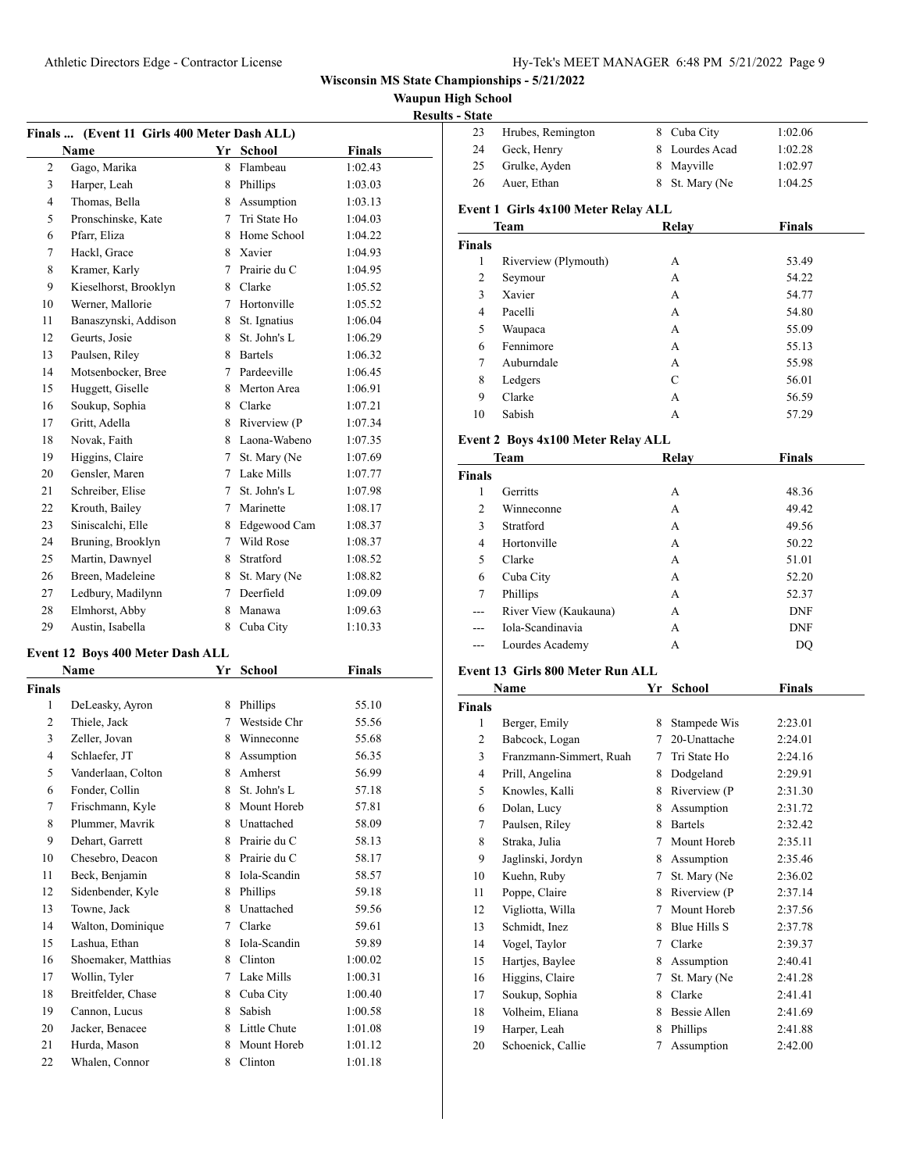**Waupun High School**

| <b>Results - State</b> |
|------------------------|

|               | Finals  (Event 11 Girls 400 Meter Dash ALL) |    |                |               |  |
|---------------|---------------------------------------------|----|----------------|---------------|--|
|               | Name                                        |    | Yr School      | Finals        |  |
| 2             | Gago, Marika                                |    | 8 Flambeau     | 1:02.43       |  |
| 3             | Harper, Leah                                |    | 8 Phillips     | 1:03.03       |  |
| 4             | Thomas, Bella                               |    | 8 Assumption   | 1:03.13       |  |
| 5             | Pronschinske, Kate                          |    | 7 Tri State Ho | 1:04.03       |  |
| 6             | Pfarr, Eliza                                |    | 8 Home School  | 1:04.22       |  |
| 7             | Hackl, Grace                                |    | 8 Xavier       | 1:04.93       |  |
| 8             | Kramer, Karly                               |    | 7 Prairie du C | 1:04.95       |  |
| 9             | Kieselhorst, Brooklyn                       |    | 8 Clarke       | 1:05.52       |  |
| 10            | Werner, Mallorie                            |    | 7 Hortonville  | 1:05.52       |  |
| 11            | Banaszynski, Addison                        |    | 8 St. Ignatius | 1:06.04       |  |
| 12            | Geurts, Josie                               |    | 8 St. John's L | 1:06.29       |  |
| 13            | Paulsen, Riley                              |    | 8 Bartels      | 1:06.32       |  |
| 14            | Motsenbocker, Bree                          |    | 7 Pardeeville  | 1:06.45       |  |
| 15            | Huggett, Giselle                            |    | 8 Merton Area  | 1:06.91       |  |
| 16            | Soukup, Sophia                              |    | 8 Clarke       | 1:07.21       |  |
| 17            | Gritt, Adella                               |    | 8 Riverview (P | 1:07.34       |  |
| 18            | Novak, Faith                                |    | 8 Laona-Wabeno | 1:07.35       |  |
| 19            | Higgins, Claire                             | 7  | St. Mary (Ne   | 1:07.69       |  |
| 20            | Gensler, Maren                              |    | 7 Lake Mills   | 1:07.77       |  |
| 21            | Schreiber, Elise                            |    | 7 St. John's L | 1:07.98       |  |
| 22            | Krouth, Bailey                              |    | 7 Marinette    | 1:08.17       |  |
| 23            | Siniscalchi, Elle                           |    | 8 Edgewood Cam | 1:08.37       |  |
| 24            | Bruning, Brooklyn                           |    | 7 Wild Rose    | 1:08.37       |  |
| 25            | Martin, Dawnyel                             | 8  | Stratford      | 1:08.52       |  |
| 26            | Breen, Madeleine                            | 8  | St. Mary (Ne   | 1:08.82       |  |
| 27            |                                             | 7  | Deerfield      |               |  |
|               | Ledbury, Madilynn                           |    | Manawa         | 1:09.09       |  |
| 28            | Elmhorst, Abby                              | 8  |                | 1:09.63       |  |
| 29            | Austin, Isabella                            | 8  | Cuba City      | 1:10.33       |  |
|               | Event 12 Boys 400 Meter Dash ALL            |    |                |               |  |
|               | Name                                        | Yr | <b>School</b>  | <b>Finals</b> |  |
| <b>Finals</b> |                                             |    |                |               |  |
| 1             | DeLeasky, Ayron                             |    | 8 Phillips     | 55.10         |  |
| 2             | Thiele, Jack                                |    | 7 Westside Chr | 55.56         |  |
| 3             | Zeller, Jovan                               |    | 8 Winneconne   | 55.68         |  |
| 4             | Schlaefer, JT                               |    | 8 Assumption   | 56.35         |  |
| 5             | Vanderlaan, Colton                          | 8  | Amherst        | 56.99         |  |
| 6             | Fonder, Collin                              | 8  | St. John's L   | 57.18         |  |
| 7             | Frischmann, Kyle                            | 8  | Mount Horeb    | 57.81         |  |
| 8             | Plummer, Mavrik                             |    | 8 Unattached   | 58.09         |  |
| 9             | Dehart, Garrett                             |    | 8 Prairie du C | 58.13         |  |
| 10            | Chesebro, Deacon                            |    | 8 Prairie du C | 58.17         |  |
| 11            | Beck, Benjamin                              |    | 8 Iola-Scandin | 58.57         |  |
| 12            | Sidenbender, Kyle                           |    | 8 Phillips     | 59.18         |  |
| 13            | Towne, Jack                                 |    | 8 Unattached   | 59.56         |  |
| 14            | Walton, Dominique                           |    | 7 Clarke       | 59.61         |  |
| 15            | Lashua, Ethan                               |    | 8 Iola-Scandin | 59.89         |  |
| 16            | Shoemaker, Matthias                         |    | 8 Clinton      | 1:00.02       |  |
| 17            | Wollin, Tyler                               | 7  | Lake Mills     | 1:00.31       |  |
| 18            | Breitfelder, Chase                          | 8  | Cuba City      | 1:00.40       |  |
| 19            | Cannon, Lucus                               | 8  | Sabish         | 1:00.58       |  |
| 20            | Jacker, Benacee                             | 8  | Little Chute   | 1:01.08       |  |
| 21            | Hurda, Mason                                | 8  | Mount Horeb    | 1:01.12       |  |
| 22            | Whalen, Connor                              |    | 8 Clinton      | 1:01.18       |  |

| - State       |                                         |    |                |                |
|---------------|-----------------------------------------|----|----------------|----------------|
| 23            | Hrubes, Remington                       |    | 8 Cuba City    | 1:02.06        |
| 24            | Geck, Henry                             |    | 8 Lourdes Acad | 1:02.28        |
| 25            | Grulke, Ayden                           |    | 8 Mayville     | 1:02.97        |
| 26            | Auer, Ethan                             | 8  | St. Mary (Ne   | 1:04.25        |
|               |                                         |    |                |                |
|               | Event 1 Girls 4x100 Meter Relay ALL     |    |                |                |
|               | Team                                    |    | Relay          | Finals         |
| <b>Finals</b> |                                         |    |                |                |
| 1             | Riverview (Plymouth)                    |    | A              | 53.49          |
| 2             | Seymour<br>Xavier                       |    | A              | 54.22          |
| 3<br>4        | Pacelli                                 |    | A              | 54.77          |
| 5             | Waupaca                                 |    | A<br>А         | 54.80<br>55.09 |
| 6             | Fennimore                               |    | A              | 55.13          |
| 7             | Auburndale                              |    | A              | 55.98          |
| 8             | Ledgers                                 |    | C              | 56.01          |
| 9             | Clarke                                  |    | A              |                |
| 10            | Sabish                                  |    | A              | 56.59<br>57.29 |
|               |                                         |    |                |                |
|               | Event 2 Boys 4x100 Meter Relay ALL      |    |                |                |
|               | Team                                    |    | Relay          | Finals         |
| <b>Finals</b> |                                         |    |                |                |
| 1             | Gerritts                                |    | A              | 48.36          |
| 2             | Winneconne                              |    | A              | 49.42          |
| 3             | Stratford                               |    | A              | 49.56          |
| 4             | Hortonville                             |    | A              | 50.22          |
| 5             | Clarke                                  |    | А              | 51.01          |
| 6             | Cuba City                               |    | A              | 52.20          |
| 7             | Phillips                                |    | A              | 52.37          |
| $---$         | River View (Kaukauna)                   |    | А              | <b>DNF</b>     |
| $---$         | Iola-Scandinavia                        |    | A              | DNF            |
| ---           | Lourdes Academy                         |    | A              | DQ             |
|               | <b>Event 13 Girls 800 Meter Run ALL</b> |    |                |                |
|               | Name                                    | Yr | <b>School</b>  | Finals         |
| <b>Finals</b> |                                         |    |                |                |
| 1             | Berger, Emily                           |    | 8 Stampede Wis | 2:23.01        |
| 2             | Babcock, Logan                          |    | 7 20-Unattache | 2:24.01        |
| 3             | Franzmann-Simmert, Ruah                 | 7  | Tri State Ho   | 2:24.16        |
| 4             | Prill, Angelina                         |    | 8 Dodgeland    | 2:29.91        |
| 5             | Knowles, Kalli                          | 8  | Riverview (P   | 2:31.30        |
| 6             | Dolan, Lucy                             | 8  | Assumption     | 2:31.72        |
| 7             | Paulsen, Riley                          | 8  | <b>Bartels</b> | 2:32.42        |
| 8             | Straka, Julia                           | 7  | Mount Horeb    | 2:35.11        |
| 9             | Jaglinski, Jordyn                       | 8  | Assumption     | 2:35.46        |
| 10            | Kuehn, Ruby                             | 7  | St. Mary (Ne   | 2:36.02        |
| 11            | Poppe, Claire                           | 8  | Riverview (P   | 2:37.14        |
| 12            | Vigliotta, Willa                        | 7  | Mount Horeb    | 2:37.56        |
| 13            | Schmidt, Inez                           | 8  | Blue Hills S   | 2:37.78        |
| 14            | Vogel, Taylor                           | 7  | Clarke         | 2:39.37        |
| 15            | Hartjes, Baylee                         | 8  | Assumption     | 2:40.41        |
| 16            | Higgins, Claire                         | 7  | St. Mary (Ne   | 2:41.28        |
| 17            | Soukup, Sophia                          | 8  | Clarke         | 2:41.41        |
| 18            | Volheim, Eliana                         | 8  | Bessie Allen   | 2:41.69        |
| 19            | Harper, Leah                            | 8  | Phillips       | 2:41.88        |
| 20            | Schoenick, Callie                       | 7  | Assumption     | 2:42.00        |
|               |                                         |    |                |                |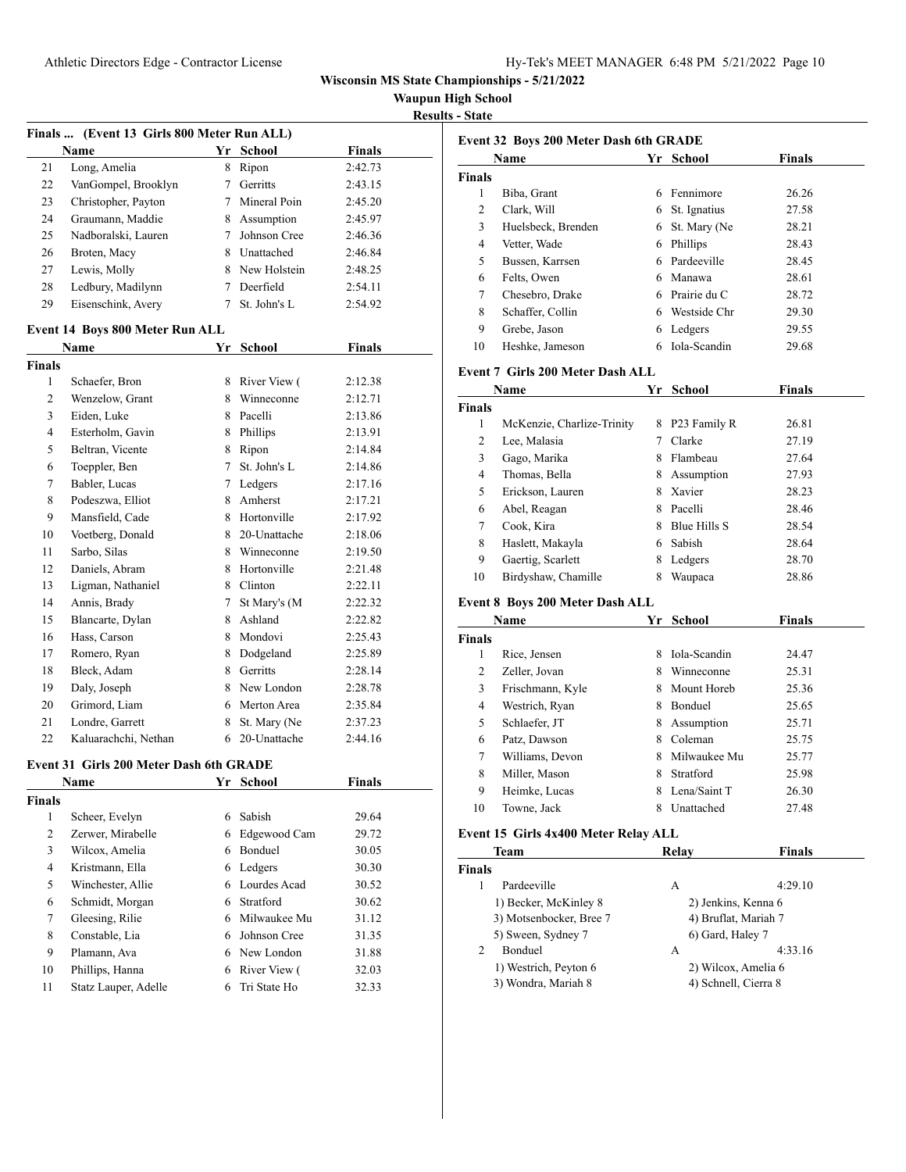Athletic Directors Edge - Contractor License

| Hy-Tek's MEET MANAGER 6:48 PM 5/21/2022 Page 10 |  |  |  |
|-------------------------------------------------|--|--|--|
|-------------------------------------------------|--|--|--|

**Wisconsin MS State Championships - 5/21/2022**

**Waupun High School**

**Results - State**

|                | Finals  (Event 13 Girls 800 Meter Run ALL)     |                 |                  |               |  |  |
|----------------|------------------------------------------------|-----------------|------------------|---------------|--|--|
|                | Name                                           |                 | Yr School        | Finals        |  |  |
| 21             | Long, Amelia                                   |                 | 8 Ripon          | 2:42.73       |  |  |
| 22             | VanGompel, Brooklyn                            |                 | 7 Gerritts       | 2:43.15       |  |  |
| 23             | Christopher, Payton                            |                 | 7 Mineral Poin   | 2:45.20       |  |  |
| 24             | Graumann, Maddie                               |                 | 8 Assumption     | 2:45.97       |  |  |
| 25             | Nadboralski, Lauren                            | $7^{\circ}$     | Johnson Cree     | 2:46.36       |  |  |
| 26             | Broten, Macy                                   |                 | 8 Unattached     | 2:46.84       |  |  |
| 27             | Lewis, Molly                                   |                 | 8 New Holstein   | 2:48.25       |  |  |
| 28             | Ledbury, Madilynn                              |                 | 7 Deerfield      | 2:54.11       |  |  |
| 29             | Eisenschink, Avery                             | $7^{\circ}$     | St. John's L     | 2:54.92       |  |  |
|                | Event 14 Boys 800 Meter Run ALL                |                 |                  |               |  |  |
|                | Name                                           |                 | Yr School        | <b>Finals</b> |  |  |
| <b>Finals</b>  |                                                |                 |                  |               |  |  |
| 1              | Schaefer, Bron                                 | 8               | River View (     | 2:12.38       |  |  |
| 2              | Wenzelow, Grant                                |                 | 8 Winneconne     | 2:12.71       |  |  |
| 3              | Eiden, Luke                                    |                 | 8 Pacelli        | 2:13.86       |  |  |
| $\overline{4}$ | Esterholm, Gavin                               |                 | 8 Phillips       | 2:13.91       |  |  |
| 5              | Beltran, Vicente                               | 8               | Ripon            | 2:14.84       |  |  |
| 6              | Toeppler, Ben                                  | $7^{\circ}$     | St. John's L     | 2:14.86       |  |  |
| 7              | Babler, Lucas                                  |                 | 7 Ledgers        | 2:17.16       |  |  |
| 8              | Podeszwa, Elliot                               |                 | 8 Amherst        | 2:17.21       |  |  |
| 9              | Mansfield, Cade                                |                 | 8 Hortonville    | 2:17.92       |  |  |
| 10             | Voetberg, Donald                               | 8               | 20-Unattache     | 2:18.06       |  |  |
| 11             | Sarbo, Silas                                   |                 | 8 Winneconne     | 2:19.50       |  |  |
| 12             | Daniels, Abram                                 |                 | 8 Hortonville    | 2:21.48       |  |  |
| 13             | Ligman, Nathaniel                              |                 | 8 Clinton        | 2:22.11       |  |  |
| 14             | Annis, Brady                                   | $7\phantom{.0}$ | St Mary's (M     | 2:22.32       |  |  |
| 15             | Blancarte, Dylan                               |                 | 8 Ashland        | 2:22.82       |  |  |
| 16             | Hass, Carson                                   |                 | 8 Mondovi        | 2:25.43       |  |  |
| 17             | Romero, Ryan                                   |                 | 8 Dodgeland      | 2:25.89       |  |  |
| 18             | Bleck, Adam                                    |                 | 8 Gerritts       | 2:28.14       |  |  |
| 19             | Daly, Joseph                                   |                 | 8 New London     | 2:28.78       |  |  |
| 20             | Grimord, Liam                                  |                 | 6 Merton Area    | 2:35.84       |  |  |
| 21             | Londre, Garrett                                | 8               | St. Mary (Ne     | 2:37.23       |  |  |
| 22             | Kaluarachchi, Nethan                           |                 | 6 20-Unattache   | 2:44.16       |  |  |
|                | <b>Event 31 Girls 200 Meter Dash 6th GRADE</b> |                 |                  |               |  |  |
|                | Name                                           |                 | <u>Yr School</u> | <b>Finals</b> |  |  |
| <b>Finals</b>  |                                                |                 |                  |               |  |  |
| 1              | Scheer, Evelyn                                 |                 | 6 Sabish         | 29.64         |  |  |
| $\overline{c}$ | Zerwer, Mirabelle                              |                 | 6 Edgewood Cam   | 29.72         |  |  |
| 3              | Wilcox, Amelia                                 |                 | 6 Bonduel        | 30.05         |  |  |
| 4              | Kristmann, Ella                                |                 | 6 Ledgers        | 30.30         |  |  |
| 5              | Winchester, Allie                              |                 | 6 Lourdes Acad   | 30.52         |  |  |
| 6              | Schmidt, Morgan                                | 6               | Stratford        | 30.62         |  |  |
| 7              | Gleesing, Rilie                                | 6               | Milwaukee Mu     | 31.12         |  |  |
| 8              | Constable, Lia                                 | 6               | Johnson Cree     | 31.35         |  |  |
| 9              | Plamann, Ava                                   |                 | 6 New London     | 31.88         |  |  |
| 10             | Phillips, Hanna                                |                 | 6 River View (   | 32.03         |  |  |
| 11             | Statz Lauper, Adelle                           | 6               | Tri State Ho     | 32.33         |  |  |

| Event 32 Boys 200 Meter Dash 6th GRADE |                                              |    |                      |               |
|----------------------------------------|----------------------------------------------|----|----------------------|---------------|
|                                        | Name                                         |    | Yr School            | Finals        |
| <b>Finals</b>                          |                                              |    |                      |               |
| 1                                      | Biba, Grant                                  |    | 6 Fennimore          | 26.26         |
| 2                                      | Clark, Will                                  |    | 6 St. Ignatius       | 27.58         |
| 3                                      | Huelsbeck, Brenden                           |    | 6 St. Mary (Ne       | 28.21         |
| 4                                      | Vetter, Wade                                 |    | 6 Phillips           | 28.43         |
| 5                                      | Bussen, Karrsen                              |    | 6 Pardeeville        | 28.45         |
| 6                                      | Felts, Owen                                  |    | 6 Manawa             | 28.61         |
| 7                                      | Chesebro, Drake                              |    | 6 Prairie du C       | 28.72         |
| 8                                      | Schaffer, Collin                             |    | 6 Westside Chr       | 29.30         |
| 9                                      | Grebe, Jason                                 |    | 6 Ledgers            | 29.55         |
| 10                                     | Heshke, Jameson                              |    | 6 Iola-Scandin       | 29.68         |
|                                        |                                              |    |                      |               |
|                                        | <b>Event 7 Girls 200 Meter Dash ALL</b>      |    |                      |               |
|                                        | Name                                         |    | Yr School            | <b>Finals</b> |
| Finals                                 |                                              |    |                      |               |
| 1                                      | McKenzie, Charlize-Trinity                   |    | 8 P23 Family R       | 26.81         |
| 2                                      | Lee, Malasia                                 | 7  | Clarke               | 27.19         |
| 3                                      | Gago, Marika                                 |    | 8 Flambeau           | 27.64         |
| 4                                      | Thomas, Bella                                |    | 8 Assumption         | 27.93         |
| 5                                      | Erickson, Lauren                             |    | 8 Xavier             | 28.23         |
| 6                                      | Abel, Reagan                                 |    | 8 Pacelli            | 28.46         |
| 7                                      | Cook, Kira                                   |    | 8 Blue Hills S       | 28.54         |
| 8                                      | Haslett, Makayla                             |    | 6 Sabish             | 28.64         |
| 9                                      | Gaertig, Scarlett                            |    | 8 Ledgers            | 28.70         |
| 10                                     | Birdyshaw, Chamille                          |    | 8 Waupaca            | 28.86         |
|                                        | Event 8 Boys 200 Meter Dash ALL              |    |                      |               |
|                                        | Name                                         |    | Yr School            | <b>Finals</b> |
| Finals                                 |                                              |    |                      |               |
| 1                                      | Rice, Jensen                                 |    | 8 Iola-Scandin       | 24.47         |
| 2                                      | Zeller, Jovan                                |    | 8 Winneconne         | 25.31         |
| 3                                      | Frischmann, Kyle                             |    | 8 Mount Horeb        | 25.36         |
| 4                                      | Westrich, Ryan                               |    | 8 Bonduel            | 25.65         |
| 5                                      | Schlaefer, JT                                |    | 8 Assumption         | 25.71         |
| 6                                      | Patz, Dawson                                 |    | 8 Coleman            | 25.75         |
| 7                                      | Williams, Devon                              | 8. | Milwaukee Mu         | 25.77         |
| 8                                      | Miller, Mason                                | 8  | Stratford            | 25.98         |
| 9                                      | Heimke, Lucas                                |    | 8 Lena/Saint T       | 26.30         |
| 10                                     | Towne, Jack                                  | 8  | Unattached           | 27.48         |
|                                        |                                              |    |                      |               |
|                                        | Event 15 Girls 4x400 Meter Relay ALL<br>Team |    | Relay                | <b>Finals</b> |
| <b>Finals</b>                          |                                              |    |                      |               |
| 1                                      | Pardeeville                                  |    | А                    | 4:29.10       |
|                                        | 1) Becker, McKinley 8                        |    | 2) Jenkins, Kenna 6  |               |
|                                        | 3) Motsenbocker, Bree 7                      |    | 4) Bruflat, Mariah 7 |               |
|                                        | 5) Sween, Sydney 7                           |    | 6) Gard, Haley 7     |               |
| 2                                      | Bonduel                                      |    | А                    | 4:33.16       |
|                                        | 1) Westrich, Peyton 6                        |    | 2) Wilcox, Amelia 6  |               |
|                                        | 3) Wondra, Mariah 8                          |    | 4) Schnell, Cierra 8 |               |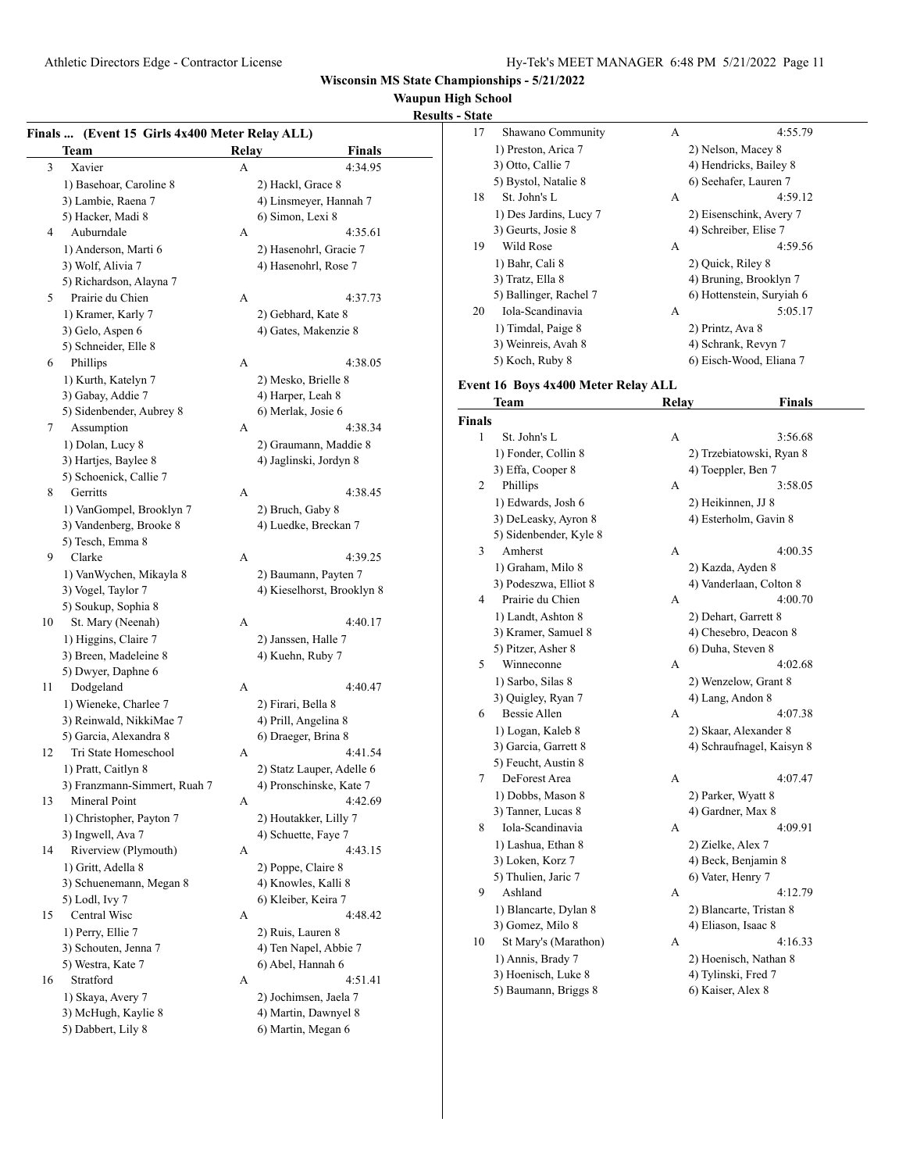# **Waupun High School**

| <b>Results - State</b> |
|------------------------|
|------------------------|

|    | Finals  (Event 15 Girls 4x400 Meter Relay ALL) |              |                                         |
|----|------------------------------------------------|--------------|-----------------------------------------|
|    | Team                                           | <b>Relay</b> | <b>Finals</b>                           |
| 3  | Xavier                                         | А            | 4:34.95                                 |
|    | 1) Basehoar, Caroline 8                        |              | 2) Hackl, Grace 8                       |
|    | 3) Lambie, Raena 7                             |              | 4) Linsmeyer, Hannah 7                  |
|    | 5) Hacker, Madi 8                              |              | 6) Simon, Lexi 8                        |
| 4  | Auburndale                                     | А            | 4:35.61                                 |
|    | 1) Anderson, Marti 6                           |              | 2) Hasenohrl, Gracie 7                  |
|    | 3) Wolf, Alivia 7                              |              | 4) Hasenohrl, Rose 7                    |
|    | 5) Richardson, Alayna 7                        |              |                                         |
| 5  | Prairie du Chien                               | А            | 4:37.73                                 |
|    | 1) Kramer, Karly 7                             |              | 2) Gebhard, Kate 8                      |
|    | 3) Gelo, Aspen 6                               |              | 4) Gates, Makenzie 8                    |
|    | 5) Schneider, Elle 8                           |              |                                         |
| 6  | Phillips                                       | А            | 4:38.05                                 |
|    |                                                |              |                                         |
|    | 1) Kurth, Katelyn 7                            |              | 2) Mesko, Brielle 8                     |
|    | 3) Gabay, Addie 7                              |              | 4) Harper, Leah 8<br>6) Merlak, Josie 6 |
|    | 5) Sidenbender, Aubrey 8                       |              |                                         |
| 7  | Assumption                                     | А            | 4:38.34                                 |
|    | 1) Dolan, Lucy 8                               |              | 2) Graumann, Maddie 8                   |
|    | 3) Hartjes, Baylee 8                           |              | 4) Jaglinski, Jordyn 8                  |
|    | 5) Schoenick, Callie 7                         |              |                                         |
| 8  | Gerritts                                       | А            | 4:38.45                                 |
|    | 1) VanGompel, Brooklyn 7                       |              | 2) Bruch, Gaby 8                        |
|    | 3) Vandenberg, Brooke 8                        |              | 4) Luedke, Breckan 7                    |
|    | 5) Tesch, Emma 8                               |              |                                         |
| 9  | Clarke                                         | А            | 4:39.25                                 |
|    | 1) VanWychen, Mikayla 8                        |              | 2) Baumann, Payten 7                    |
|    | 3) Vogel, Taylor 7                             |              | 4) Kieselhorst, Brooklyn 8              |
|    | 5) Soukup, Sophia 8                            |              |                                         |
| 10 | St. Mary (Neenah)                              | А            | 4:40.17                                 |
|    | 1) Higgins, Claire 7                           |              | 2) Janssen, Halle 7                     |
|    | 3) Breen, Madeleine 8                          |              | 4) Kuehn, Ruby 7                        |
|    | 5) Dwyer, Daphne 6                             |              |                                         |
| 11 | Dodgeland                                      | А            | 4:40.47                                 |
|    | 1) Wieneke, Charlee 7                          |              | 2) Firari, Bella 8                      |
|    | 3) Reinwald, NikkiMae 7                        |              | 4) Prill, Angelina 8                    |
|    | 5) Garcia, Alexandra 8                         |              | 6) Draeger, Brina 8                     |
| 12 | Tri State Homeschool                           | А            | 4:41.54                                 |
|    | 1) Pratt, Caitlyn 8                            |              | 2) Statz Lauper, Adelle 6               |
|    | 3) Franzmann-Simmert, Ruah 7                   |              | 4) Pronschinske, Kate 7                 |
| 13 | Mineral Point                                  | А            | 4:42.69                                 |
|    | 1) Christopher, Payton 7                       |              | 2) Houtakker, Lilly 7                   |
|    | 3) Ingwell, Ava 7                              |              | 4) Schuette, Faye 7                     |
| 14 | Riverview (Plymouth)                           | А            | 4:43.15                                 |
|    | 1) Gritt, Adella 8                             |              | 2) Poppe, Claire 8                      |
|    | 3) Schuenemann, Megan 8                        |              | 4) Knowles, Kalli 8                     |
|    | 5) Lodl, Ivy 7                                 |              | 6) Kleiber, Keira 7                     |
| 15 | Central Wisc                                   | А            | 4:48.42                                 |
|    | 1) Perry, Ellie 7                              |              | 2) Ruis, Lauren 8                       |
|    | 3) Schouten, Jenna 7                           |              | 4) Ten Napel, Abbie 7                   |
|    | 5) Westra, Kate 7                              |              | 6) Abel, Hannah 6                       |
| 16 | Stratford                                      | А            | 4:51.41                                 |
|    | 1) Skaya, Avery 7                              |              | 2) Jochimsen, Jaela 7                   |
|    | 3) McHugh, Kaylie 8                            |              | 4) Martin, Dawnyel 8                    |
|    | 5) Dabbert, Lily 8                             |              | 6) Martin, Megan 6                      |
|    |                                                |              |                                         |

| - State          |                                     |       |                           |
|------------------|-------------------------------------|-------|---------------------------|
| 17               | Shawano Community                   | А     | 4:55.79                   |
|                  | 1) Preston, Arica 7                 |       | 2) Nelson, Macey 8        |
|                  | 3) Otto, Callie 7                   |       | 4) Hendricks, Bailey 8    |
|                  | 5) Bystol, Natalie 8                |       | 6) Seehafer, Lauren 7     |
| 18               | St. John's L                        | А     | 4:59.12                   |
|                  | 1) Des Jardins, Lucy 7              |       | 2) Eisenschink, Avery 7   |
|                  | 3) Geurts, Josie 8                  |       | 4) Schreiber, Elise 7     |
| 19               | Wild Rose                           | А     | 4:59.56                   |
|                  |                                     |       |                           |
|                  | 1) Bahr, Cali 8                     |       | 2) Quick, Riley 8         |
|                  | 3) Tratz, Ella 8                    |       | 4) Bruning, Brooklyn 7    |
|                  | 5) Ballinger, Rachel 7              |       | 6) Hottenstein, Suryiah 6 |
| 20               | Iola-Scandinavia                    | А     | 5:05.17                   |
|                  | 1) Timdal, Paige 8                  |       | 2) Printz, Ava 8          |
|                  | 3) Weinreis, Avah 8                 |       | 4) Schrank, Revyn 7       |
|                  | 5) Koch, Ruby 8                     |       | 6) Eisch-Wood, Eliana 7   |
|                  | Event 16 Boys 4x400 Meter Relay ALL |       |                           |
|                  | Team                                | Relay | <b>Finals</b>             |
| Finals           |                                     |       |                           |
| 1                | St. John's L                        | A     | 3:56.68                   |
|                  | 1) Fonder, Collin 8                 |       | 2) Trzebiatowski, Ryan 8  |
|                  | 3) Effa, Cooper 8                   |       | 4) Toeppler, Ben 7        |
| 2                | Phillips                            | А     | 3:58.05                   |
|                  | 1) Edwards, Josh 6                  |       | 2) Heikinnen, JJ 8        |
|                  | 3) DeLeasky, Ayron 8                |       | 4) Esterholm, Gavin 8     |
|                  | 5) Sidenbender, Kyle 8              |       |                           |
| 3                | Amherst                             | A     | 4:00.35                   |
|                  | 1) Graham, Milo 8                   |       | 2) Kazda, Ayden 8         |
|                  | 3) Podeszwa, Elliot 8               |       | 4) Vanderlaan, Colton 8   |
| 4                | Prairie du Chien                    | А     | 4:00.70                   |
|                  |                                     |       |                           |
|                  | 1) Landt, Ashton 8                  |       | 2) Dehart, Garrett 8      |
|                  | 3) Kramer, Samuel 8                 |       | 4) Chesebro, Deacon 8     |
|                  | 5) Pitzer, Asher 8                  |       | 6) Duha, Steven 8         |
| 5                | Winneconne                          | А     | 4:02.68                   |
|                  | 1) Sarbo, Silas 8                   |       | 2) Wenzelow, Grant 8      |
|                  | 3) Quigley, Ryan 7                  |       | 4) Lang, Andon 8          |
| 6                | Bessie Allen                        | А     | 4:07.38                   |
|                  | 1) Logan, Kaleb 8                   |       | 2) Skaar, Alexander 8     |
|                  | 3) Garcia, Garrett 8                |       | 4) Schraufnagel, Kaisyn 8 |
|                  | 5) Feucht, Austin 8                 |       |                           |
| $\boldsymbol{7}$ | DeForest Area                       | А     | 4:07.47                   |
|                  | 1) Dobbs, Mason 8                   |       | 2) Parker, Wyatt 8        |
|                  | 3) Tanner, Lucas 8                  |       | 4) Gardner, Max 8         |
| 8                | Iola-Scandinavia                    | А     | 4:09.91                   |
|                  | 1) Lashua, Ethan 8                  |       | 2) Zielke, Alex 7         |
|                  | 3) Loken, Korz 7                    |       | 4) Beck, Benjamin 8       |
|                  | 5) Thulien, Jaric 7                 |       | 6) Vater, Henry 7         |
| 9                | Ashland                             | А     | 4:12.79                   |
|                  | 1) Blancarte, Dylan 8               |       | 2) Blancarte, Tristan 8   |
|                  | 3) Gomez, Milo 8                    |       | 4) Eliason, Isaac 8       |
| 10               | St Mary's (Marathon)                | А     | 4:16.33                   |
|                  | 1) Annis, Brady 7                   |       | 2) Hoenisch, Nathan 8     |
|                  | 3) Hoenisch, Luke 8                 |       | 4) Tylinski, Fred 7       |
|                  | 5) Baumann, Briggs 8                |       | 6) Kaiser, Alex 8         |
|                  |                                     |       |                           |
|                  |                                     |       |                           |
|                  |                                     |       |                           |
|                  |                                     |       |                           |
|                  |                                     |       |                           |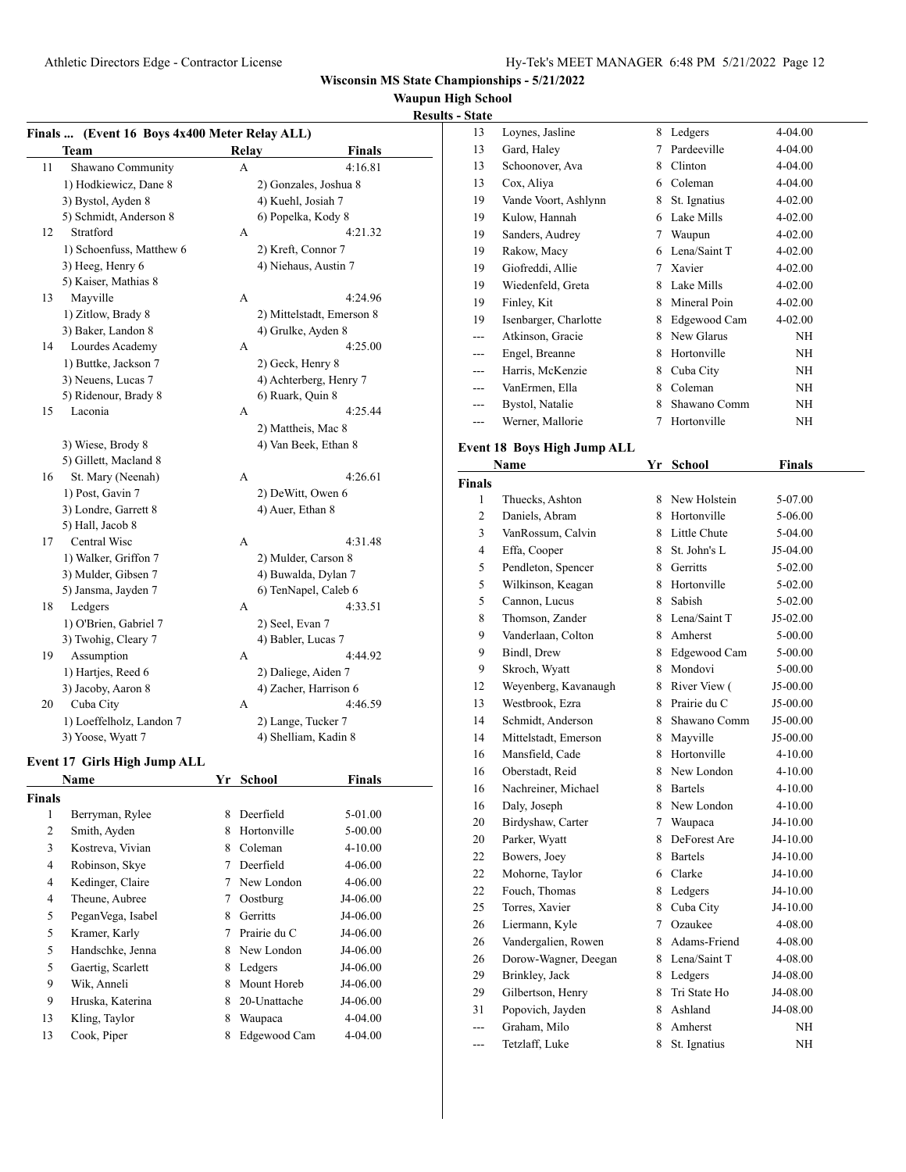#### **High School Results** - State

|                |                                               |   |                        |                           | <b>Waupun E</b> |
|----------------|-----------------------------------------------|---|------------------------|---------------------------|-----------------|
|                |                                               |   |                        |                           | <b>Results</b>  |
|                | Finals  (Event 16 Boys 4x400 Meter Relay ALL) |   |                        |                           |                 |
|                | Team                                          |   | Relay                  | <b>Finals</b>             |                 |
| 11             | Shawano Community                             |   | A                      | 4:16.81                   |                 |
|                | 1) Hodkiewicz, Dane 8                         |   | 2) Gonzales, Joshua 8  |                           |                 |
|                | 3) Bystol, Ayden 8                            |   | 4) Kuehl, Josiah 7     |                           |                 |
|                | 5) Schmidt, Anderson 8                        |   | 6) Popelka, Kody 8     |                           |                 |
| 12             | Stratford                                     |   | А                      | 4:21.32                   |                 |
|                | 1) Schoenfuss, Matthew 6                      |   | 2) Kreft, Connor 7     |                           |                 |
|                | 3) Heeg, Henry 6                              |   | 4) Niehaus, Austin 7   |                           |                 |
|                | 5) Kaiser, Mathias 8                          |   |                        |                           |                 |
| 13             | Mayville                                      |   | A                      | 4:24.96                   |                 |
|                | 1) Zitlow, Brady 8                            |   |                        | 2) Mittelstadt, Emerson 8 |                 |
|                | 3) Baker, Landon 8                            |   | 4) Grulke, Ayden 8     |                           |                 |
| 14             | Lourdes Academy                               |   | A                      | 4:25.00                   |                 |
|                | 1) Buttke, Jackson 7                          |   | 2) Geck, Henry 8       |                           |                 |
|                | 3) Neuens, Lucas 7                            |   | 4) Achterberg, Henry 7 |                           |                 |
|                | 5) Ridenour, Brady 8                          |   | 6) Ruark, Quin 8       |                           |                 |
| 15             | Laconia                                       |   | А                      | 4:25.44                   |                 |
|                |                                               |   | 2) Mattheis, Mac 8     |                           |                 |
|                | 3) Wiese, Brody 8                             |   | 4) Van Beek, Ethan 8   |                           |                 |
|                | 5) Gillett, Macland 8                         |   |                        |                           |                 |
| 16             | St. Mary (Neenah)                             |   | A                      | 4:26.61                   |                 |
|                | 1) Post, Gavin 7                              |   | 2) DeWitt, Owen 6      |                           |                 |
|                | 3) Londre, Garrett 8                          |   | 4) Auer, Ethan 8       |                           |                 |
|                | 5) Hall, Jacob 8                              |   |                        |                           |                 |
| 17             | Central Wisc                                  |   | A                      | 4:31.48                   |                 |
|                | 1) Walker, Griffon 7                          |   | 2) Mulder, Carson 8    |                           |                 |
|                | 3) Mulder, Gibsen 7                           |   | 4) Buwalda, Dylan 7    |                           |                 |
|                | 5) Jansma, Jayden 7                           |   | 6) TenNapel, Caleb 6   |                           |                 |
| 18             | Ledgers                                       |   | A                      | 4:33.51                   |                 |
|                | 1) O'Brien, Gabriel 7                         |   | 2) Seel, Evan 7        |                           |                 |
|                | 3) Twohig, Cleary 7                           |   | 4) Babler, Lucas 7     |                           |                 |
| 19             | Assumption                                    |   | A                      | 4:44.92                   |                 |
|                | 1) Hartjes, Reed 6                            |   | 2) Daliege, Aiden 7    |                           |                 |
|                | 3) Jacoby, Aaron 8                            |   | 4) Zacher, Harrison 6  |                           |                 |
| 20             | Cuba City                                     |   | А                      | 4:46.59                   |                 |
|                | 1) Loeffelholz, Landon 7                      |   | 2) Lange, Tucker 7     |                           |                 |
|                | 3) Yoose, Wyatt 7                             |   | 4) Shelliam, Kadin 8   |                           |                 |
|                |                                               |   |                        |                           |                 |
|                | Event 17 Girls High Jump ALL                  |   |                        |                           |                 |
|                | <b>Name</b>                                   |   | Yr School              | <b>Finals</b>             |                 |
| <b>Finals</b>  |                                               |   |                        |                           |                 |
| 1              | Berryman, Rylee                               | 8 | Deerfield              | 5-01.00                   |                 |
| $\overline{c}$ | Smith, Ayden                                  | 8 | Hortonville            | 5-00.00                   |                 |
| 3              | Kostreva, Vivian                              | 8 | Coleman                | 4-10.00                   |                 |
| 4              | Robinson, Skye                                | 7 | Deerfield              | 4-06.00                   |                 |

4 Kedinger, Claire 7 New London 4-06.00 4 Theune, Aubree 7 Oostburg J4-06.00 5 PeganVega, Isabel 8 Gerritts J4-06.00 5 Kramer, Karly 7 Prairie du C J4-06.00 5 Handschke, Jenna 8 New London J4-06.00 5 Gaertig, Scarlett 8 Ledgers J4-06.00 9 Wik, Anneli 8 Mount Horeb J4-06.00 9 Hruska, Katerina 8 20-Unattache J4-06.00 13 Kling, Taylor 8 Waupaca 4-04.00 13 Cook, Piper 8 Edgewood Cam 4-04.00

| otate |                       |   |              |         |
|-------|-----------------------|---|--------------|---------|
| 13    | Loynes, Jasline       | 8 | Ledgers      | 4-04.00 |
| 13    | Gard, Haley           | 7 | Pardeeville  | 4-04.00 |
| 13    | Schoonover, Ava       | 8 | Clinton      | 4-04.00 |
| 13    | Cox, Aliya            | 6 | Coleman      | 4-04.00 |
| 19    | Vande Voort, Ashlynn  | 8 | St. Ignatius | 4-02.00 |
| 19    | Kulow, Hannah         | 6 | Lake Mills   | 4-02.00 |
| 19    | Sanders, Audrey       | 7 | Waupun       | 4-02.00 |
| 19    | Rakow, Macy           | 6 | Lena/Saint T | 4-02.00 |
| 19    | Giofreddi, Allie      | 7 | Xavier       | 4-02.00 |
| 19    | Wiedenfeld, Greta     | 8 | Lake Mills   | 4-02.00 |
| 19    | Finley, Kit           | 8 | Mineral Poin | 4-02.00 |
| 19    | Isenbarger, Charlotte | 8 | Edgewood Cam | 4-02.00 |
| ---   | Atkinson, Gracie      | 8 | New Glarus   | NH      |
| ---   | Engel, Breanne        | 8 | Hortonville  | NH      |
| ---   | Harris, McKenzie      | 8 | Cuba City    | NH      |
| ---   | VanErmen, Ella        | 8 | Coleman      | NH      |
| ---   | Bystol, Natalie       | 8 | Shawano Comm | NΗ      |
| ---   | Werner, Mallorie      | 7 | Hortonville  | ΝH      |

### **Event 18 Boys High Jump ALL**

|                | Name                 | Yr     | <b>School</b>  | <b>Finals</b> |  |
|----------------|----------------------|--------|----------------|---------------|--|
| <b>Finals</b>  |                      |        |                |               |  |
| 1              | Thuecks, Ashton      |        | 8 New Holstein | 5-07.00       |  |
| $\overline{c}$ | Daniels, Abram       | 8      | Hortonville    | 5-06.00       |  |
| 3              | VanRossum, Calvin    |        | 8 Little Chute | 5-04.00       |  |
| 4              | Effa, Cooper         |        | 8 St. John's L | J5-04.00      |  |
| 5              | Pendleton, Spencer   | 8.     | Gerritts       | 5-02.00       |  |
| 5              | Wilkinson, Keagan    | 8      | Hortonville    | 5-02.00       |  |
| 5              | Cannon, Lucus        | 8      | Sabish         | 5-02.00       |  |
| 8              | Thomson, Zander      | 8      | Lena/Saint T   | J5-02.00      |  |
| 9              | Vanderlaan, Colton   |        | 8 Amherst      | 5-00.00       |  |
| 9              | Bindl, Drew          |        | 8 Edgewood Cam | 5-00.00       |  |
| 9              | Skroch, Wyatt        |        | 8 Mondovi      | 5-00.00       |  |
| 12             | Weyenberg, Kavanaugh |        | 8 River View ( | J5-00.00      |  |
| 13             | Westbrook, Ezra      | 8      | Prairie du C   | J5-00.00      |  |
| 14             | Schmidt, Anderson    | 8      | Shawano Comm   | J5-00.00      |  |
| 14             | Mittelstadt, Emerson |        | 8 Mayville     | J5-00.00      |  |
| 16             | Mansfield, Cade      | 8      | Hortonville    | $4 - 10.00$   |  |
| 16             | Oberstadt, Reid      |        | 8 New London   | 4-10.00       |  |
| 16             | Nachreiner, Michael  |        | 8 Bartels      | 4-10.00       |  |
| 16             | Daly, Joseph         |        | 8 New London   | 4-10.00       |  |
| 20             | Birdyshaw, Carter    |        | 7 Waupaca      | J4-10.00      |  |
| 20             | Parker, Wyatt        | 8      | DeForest Are   | J4-10.00      |  |
| 22             | Bowers, Joey         | 8      | <b>Bartels</b> | J4-10.00      |  |
| 22             | Mohorne, Taylor      | 6.     | Clarke         | J4-10.00      |  |
| 22             | Fouch, Thomas        |        | 8 Ledgers      | J4-10.00      |  |
| 25             | Torres, Xavier       |        | 8 Cuba City    | J4-10.00      |  |
| 26             | Liermann, Kyle       | $\tau$ | Ozaukee        | 4-08.00       |  |
| 26             | Vandergalien, Rowen  |        | 8 Adams-Friend | 4-08.00       |  |
| 26             | Dorow-Wagner, Deegan |        | 8 Lena/Saint T | 4-08.00       |  |
| 29             | Brinkley, Jack       |        | 8 Ledgers      | J4-08.00      |  |
| 29             | Gilbertson, Henry    | 8      | Tri State Ho   | J4-08.00      |  |
| 31             | Popovich, Jayden     | 8      | Ashland        | J4-08.00      |  |
|                | Graham, Milo         | 8      | Amherst        | NH            |  |
| ---            | Tetzlaff, Luke       | 8      | St. Ignatius   | NΗ            |  |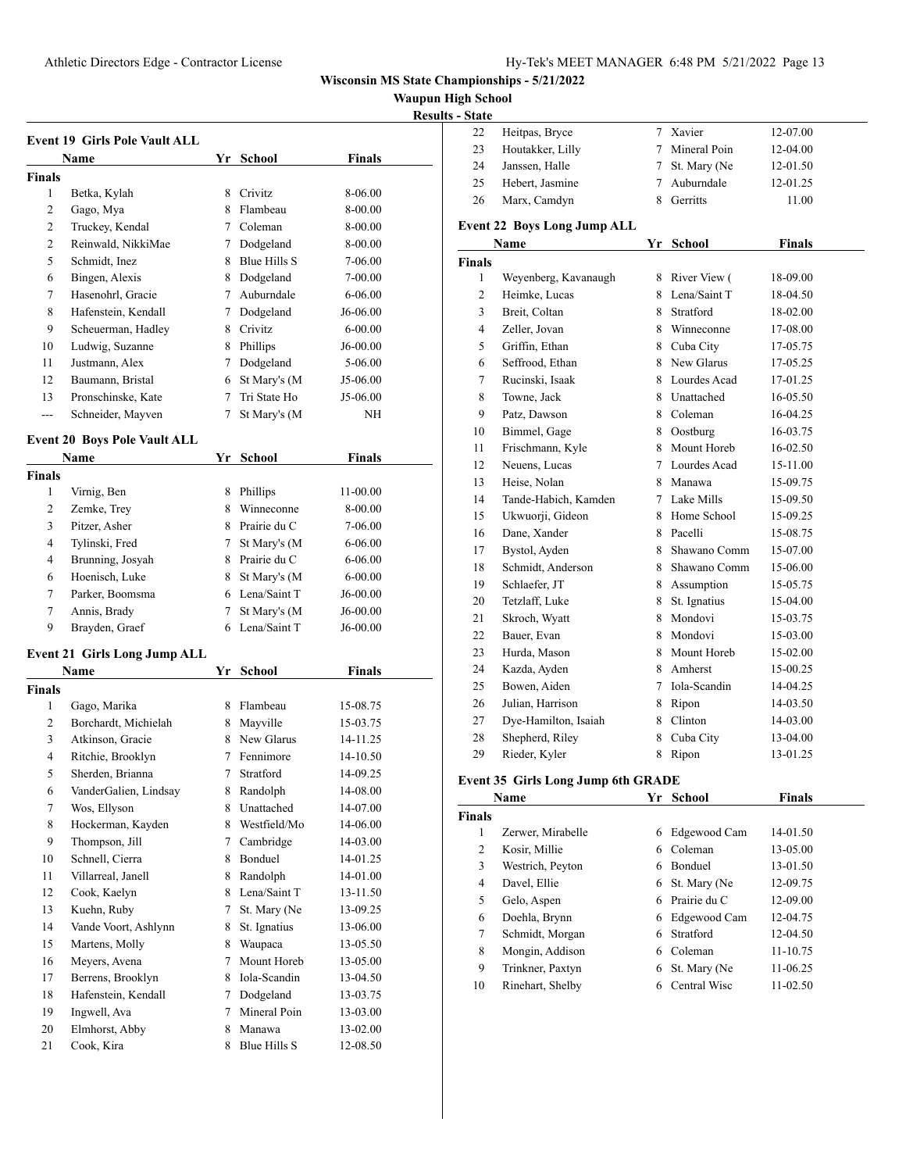**Waupun High School**

|--|

| <b>Event 19 Girls Pole Vault ALL</b> |                                     |    |                |               |  |  |
|--------------------------------------|-------------------------------------|----|----------------|---------------|--|--|
|                                      | Name                                |    | Yr School      | Finals        |  |  |
| Finals                               |                                     |    |                |               |  |  |
| 1                                    | Betka, Kylah                        | 8. | Crivitz        | 8-06.00       |  |  |
| 2                                    | Gago, Mya                           |    | 8 Flambeau     | 8-00.00       |  |  |
| 2                                    | Truckey, Kendal                     |    | 7 Coleman      | 8-00.00       |  |  |
| 2                                    | Reinwald, NikkiMae                  |    | 7 Dodgeland    | 8-00.00       |  |  |
| 5                                    | Schmidt, Inez                       |    | 8 Blue Hills S | 7-06.00       |  |  |
| 6                                    | Bingen, Alexis                      |    | 8 Dodgeland    | 7-00.00       |  |  |
| 7                                    | Hasenohrl, Gracie                   |    | 7 Auburndale   | 6-06.00       |  |  |
| 8                                    | Hafenstein, Kendall                 |    | 7 Dodgeland    | J6-06.00      |  |  |
| 9                                    | Scheuerman, Hadley                  |    | 8 Crivitz      | $6 - 00.00$   |  |  |
| 10                                   |                                     |    |                |               |  |  |
|                                      | Ludwig, Suzanne                     |    | 8 Phillips     | J6-00.00      |  |  |
| 11                                   | Justmann, Alex                      | 7  | Dodgeland      | 5-06.00       |  |  |
| 12                                   | Baumann, Bristal                    | 6  | St Mary's (M   | J5-06.00      |  |  |
| 13                                   | Pronschinske, Kate                  | 7  | Tri State Ho   | J5-06.00      |  |  |
| $\overline{a}$                       | Schneider, Mayven                   | 7  | St Mary's (M   | NΗ            |  |  |
|                                      | <b>Event 20 Boys Pole Vault ALL</b> |    |                |               |  |  |
|                                      | <b>Name</b>                         |    | Yr School      | <b>Finals</b> |  |  |
| <b>Finals</b>                        |                                     |    |                |               |  |  |
| 1                                    | Virnig, Ben                         |    | 8 Phillips     | 11-00.00      |  |  |
| 2                                    | Zemke, Trey                         |    | 8 Winneconne   | 8-00.00       |  |  |
| 3                                    | Pitzer, Asher                       |    | 8 Prairie du C | 7-06.00       |  |  |
| 4                                    | Tylinski, Fred                      |    | 7 St Mary's (M | 6-06.00       |  |  |
| 4                                    | Brunning, Josyah                    |    | 8 Prairie du C | $6 - 06.00$   |  |  |
| 6                                    | Hoenisch, Luke                      |    | 8 St Mary's (M | $6 - 00.00$   |  |  |
| 7                                    | Parker, Boomsma                     |    | 6 Lena/Saint T | J6-00.00      |  |  |
| 7                                    | Annis, Brady                        | 7  | St Mary's (M   | J6-00.00      |  |  |
| 9                                    | Brayden, Graef                      | 6  | Lena/Saint T   | $J6-00.00$    |  |  |
|                                      |                                     |    |                |               |  |  |
|                                      | <b>Event 21 Girls Long Jump ALL</b> |    |                |               |  |  |
|                                      | Name                                |    | Yr School      | <b>Finals</b> |  |  |
| <b>Finals</b>                        |                                     |    |                |               |  |  |
| 1                                    | Gago, Marika                        |    | 8 Flambeau     | 15-08.75      |  |  |
| 2                                    | Borchardt, Michielah                |    | 8 Mayville     | 15-03.75      |  |  |
| 3                                    | Atkinson, Gracie                    |    | 8 New Glarus   | 14-11.25      |  |  |
| 4                                    | Ritchie, Brooklyn                   |    | 7 Fennimore    | 14-10.50      |  |  |
| 5                                    | Sherden, Brianna                    | 7  | Stratford      | 14-09.25      |  |  |
| 6                                    | VanderGalien, Lindsay               | 8  | Randolph       | 14-08.00      |  |  |
| 7                                    | Wos, Ellyson                        | 8  | Unattached     | 14-07.00      |  |  |
| 8                                    | Hockerman, Kayden                   | 8  | Westfield/Mo   | 14-06.00      |  |  |
| 9                                    | Thompson, Jill                      | 7  | Cambridge      | 14-03.00      |  |  |
| 10                                   | Schnell, Cierra                     | 8  | Bonduel        | 14-01.25      |  |  |
| 11                                   | Villarreal, Janell                  | 8  | Randolph       | 14-01.00      |  |  |
| 12                                   | Cook, Kaelyn                        | 8  | Lena/Saint T   | 13-11.50      |  |  |
| 13                                   | Kuehn, Ruby                         | 7  | St. Mary (Ne   | 13-09.25      |  |  |
| 14                                   | Vande Voort, Ashlynn                | 8  | St. Ignatius   | 13-06.00      |  |  |
| 15                                   | Martens, Molly                      | 8  | Waupaca        | 13-05.50      |  |  |
| 16                                   | Meyers, Avena                       | 7  | Mount Horeb    | 13-05.00      |  |  |
| 17                                   | Berrens, Brooklyn                   | 8  | Iola-Scandin   | 13-04.50      |  |  |
| 18                                   | Hafenstein, Kendall                 | 7  | Dodgeland      | 13-03.75      |  |  |
| 19                                   | Ingwell, Ava                        | 7  | Mineral Poin   | 13-03.00      |  |  |
| 20                                   | Elmhorst, Abby                      | 8  | Manawa         | 13-02.00      |  |  |
| 21                                   | Cook, Kira                          | 8  | Blue Hills S   | 12-08.50      |  |  |

| ∼ີ             |                                    |        |                |               |
|----------------|------------------------------------|--------|----------------|---------------|
| 22             | Heitpas, Bryce                     | $\tau$ | Xavier         | 12-07.00      |
| 23             | Houtakker, Lilly                   | 7      | Mineral Poin   | 12-04.00      |
| 24             | Janssen, Halle                     | 7      | St. Mary (Ne   | 12-01.50      |
| 25             | Hebert, Jasmine                    | $\tau$ | Auburndale     | 12-01.25      |
| 26             | Marx, Camdyn                       | 8      | Gerritts       | 11.00         |
|                | <b>Event 22 Boys Long Jump ALL</b> |        |                |               |
|                | Name                               |        | Yr School      | <b>Finals</b> |
| Finals         |                                    |        |                |               |
| 1              | Weyenberg, Kavanaugh               | 8      | River View (   | 18-09.00      |
| $\overline{c}$ | Heimke, Lucas                      |        | 8 Lena/Saint T | 18-04.50      |
| 3              | Breit, Coltan                      |        | 8 Stratford    | 18-02.00      |
| 4              | Zeller, Jovan                      |        | 8 Winneconne   | 17-08.00      |
| 5              | Griffin, Ethan                     |        | 8 Cuba City    | 17-05.75      |
| 6              | Seffrood, Ethan                    |        | 8 New Glarus   | 17-05.25      |
| 7              | Rucinski, Isaak                    |        | 8 Lourdes Acad | 17-01.25      |
| 8              | Towne, Jack                        |        | 8 Unattached   | 16-05.50      |
| 9              | Patz, Dawson                       |        | 8 Coleman      | 16-04.25      |
| 10             | Bimmel, Gage                       |        | 8 Oostburg     | 16-03.75      |
| 11             | Frischmann, Kyle                   |        | 8 Mount Horeb  | 16-02.50      |
| 12             | Neuens, Lucas                      |        | 7 Lourdes Acad | 15-11.00      |
| 13             | Heise, Nolan                       |        | 8 Manawa       | 15-09.75      |
| 14             | Tande-Habich, Kamden               |        | 7 Lake Mills   | 15-09.50      |
| 15             | Ukwuorji, Gideon                   |        | 8 Home School  | 15-09.25      |
| 16             | Dane, Xander                       |        | 8 Pacelli      | 15-08.75      |
| 17             | Bystol, Ayden                      | 8      | Shawano Comm   | 15-07.00      |
| 18             | Schmidt, Anderson                  | 8      | Shawano Comm   | 15-06.00      |
| 19             | Schlaefer, JT                      | 8      | Assumption     | 15-05.75      |
| 20             | Tetzlaff, Luke                     | 8      | St. Ignatius   | 15-04.00      |
| 21             | Skroch, Wyatt                      | 8      | Mondovi        | 15-03.75      |
| 22             | Bauer, Evan                        | 8      | Mondovi        | 15-03.00      |
| 23             | Hurda, Mason                       | 8      | Mount Horeb    | 15-02.00      |
| 24             | Kazda, Ayden                       | 8      | Amherst        | 15-00.25      |
| 25             | Bowen, Aiden                       | 7      | Iola-Scandin   | 14-04.25      |
| 26             | Julian, Harrison                   | 8      | Ripon          | 14-03.50      |
| 27             | Dye-Hamilton, Isaiah               | 8      | Clinton        | 14-03.00      |
| 28             | Shepherd, Riley                    | 8      | Cuba City      | 13-04.00      |
| 29             | Rieder, Kyler                      | 8      | Ripon          | 13-01.25      |
|                |                                    |        |                |               |

#### **Event 35 Girls Long Jump 6th GRADE**

 $\overline{a}$ 

|        | Name              | Yr | School         | <b>Finals</b> |  |
|--------|-------------------|----|----------------|---------------|--|
| Finals |                   |    |                |               |  |
| 1      | Zerwer, Mirabelle | 6  | Edgewood Cam   | 14-01.50      |  |
| 2      | Kosir, Millie     | 6  | Coleman        | 13-05.00      |  |
| 3      | Westrich, Peyton  | 6  | <b>Bonduel</b> | 13-01.50      |  |
| 4      | Davel, Ellie      | 6  | St. Mary (Ne   | 12-09.75      |  |
| 5      | Gelo, Aspen       | 6  | Prairie du C   | 12-09.00      |  |
| 6      | Doehla, Brynn     | 6  | Edgewood Cam   | 12-04.75      |  |
| 7      | Schmidt, Morgan   | 6  | Stratford      | 12-04.50      |  |
| 8      | Mongin, Addison   | 6  | Coleman        | 11-10.75      |  |
| 9      | Trinkner, Paxtyn  | 6  | St. Mary (Ne   | 11-06.25      |  |
| 10     | Rinehart, Shelby  | 6  | Central Wisc   | $11-02.50$    |  |
|        |                   |    |                |               |  |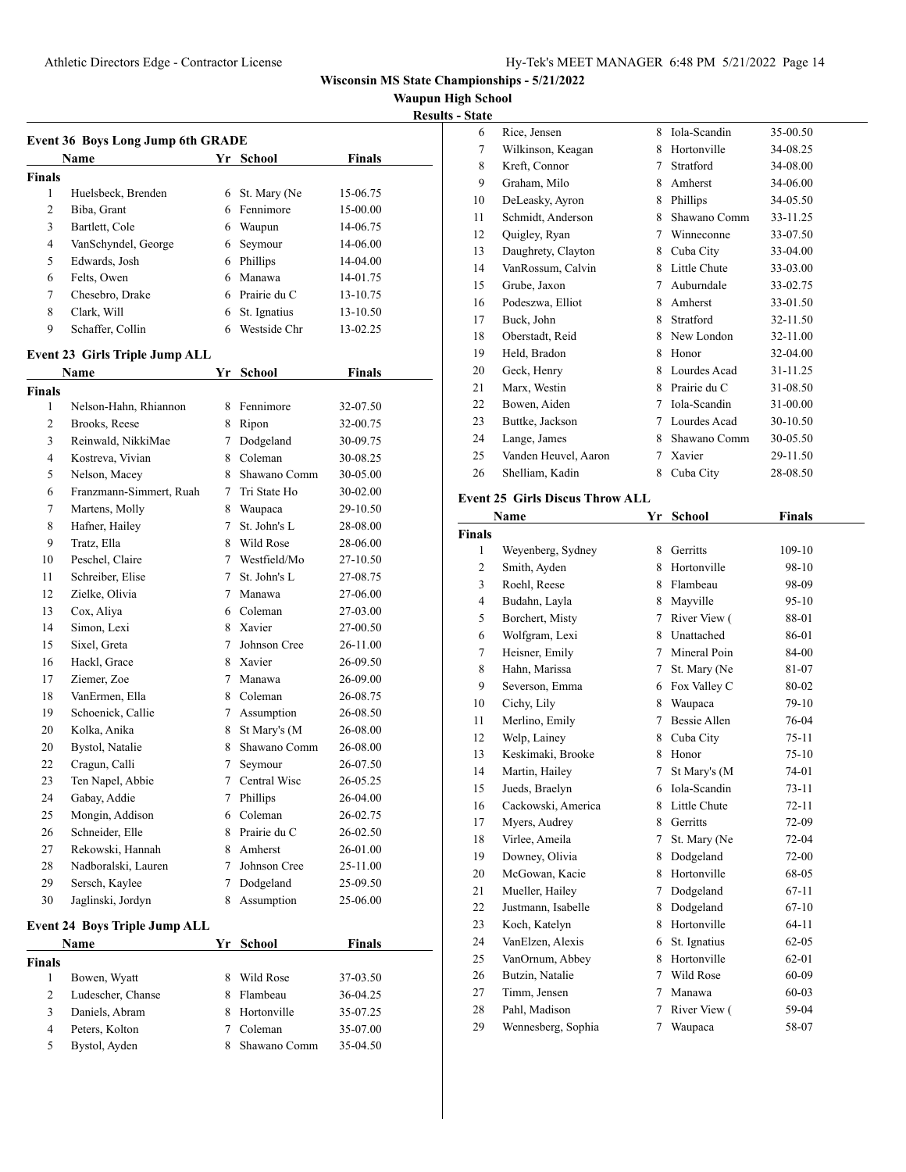**Waupun High School**

**Results - State**

| <b>Event 36 Boys Long Jump 6th GRADE</b>                                   |                                |    |                |          |  |  |
|----------------------------------------------------------------------------|--------------------------------|----|----------------|----------|--|--|
|                                                                            | Name                           |    | Yr School      | Finals   |  |  |
| Finals                                                                     |                                |    |                |          |  |  |
| 1                                                                          | Huelsbeck, Brenden             |    | 6 St. Mary (Ne | 15-06.75 |  |  |
| 2                                                                          | Biba, Grant                    | 6  | Fennimore      | 15-00.00 |  |  |
| 3                                                                          | Bartlett, Cole                 | 6  | Waupun         | 14-06.75 |  |  |
| 4                                                                          | VanSchyndel, George            | 6  | Seymour        | 14-06.00 |  |  |
| 5                                                                          | Edwards, Josh                  | 6  | Phillips       | 14-04.00 |  |  |
| 6                                                                          | Felts, Owen                    | 6  | Manawa         | 14-01.75 |  |  |
| 7                                                                          | Chesebro, Drake                | 6  | Prairie du C   | 13-10.75 |  |  |
| 8                                                                          | Clark, Will                    | 6  | St. Ignatius   | 13-10.50 |  |  |
| 9                                                                          | Schaffer, Collin               | 6  | Westside Chr   | 13-02.25 |  |  |
|                                                                            | Event 23 Girls Triple Jump ALL |    |                |          |  |  |
|                                                                            | Name                           | Yr | School         | Finals   |  |  |
| Finals                                                                     |                                |    |                |          |  |  |
| 1                                                                          | Nelson-Hahn, Rhiannon          | 8  | Fennimore      | 32-07.50 |  |  |
| 2                                                                          | Brooks, Reese                  | 8  | Ripon          | 32-00.75 |  |  |
| 3                                                                          | Reinwald, NikkiMae             | 7  | Dodgeland      | 30-09.75 |  |  |
| 4                                                                          | Kostreva, Vivian               | 8  | Coleman        | 30-08.25 |  |  |
| 5                                                                          | Nelson, Macey                  | 8  | Shawano Comm   | 30-05.00 |  |  |
| 6                                                                          | Franzmann-Simmert, Ruah        | 7  | Tri State Ho   | 30-02.00 |  |  |
| 7                                                                          | Martens, Molly                 | 8  | Waupaca        | 29-10.50 |  |  |
| 8                                                                          | Hafner, Hailey                 | 7  | St. John's L   | 28-08.00 |  |  |
| 9                                                                          | Tratz, Ella                    | 8  | Wild Rose      | 28-06.00 |  |  |
| 10                                                                         | Peschel, Claire                |    | 7 Westfield/Mo | 27-10.50 |  |  |
| 11                                                                         | Schreiber, Elise               | 7  | St. John's L   | 27-08.75 |  |  |
| 12                                                                         | Zielke, Olivia                 | 7  | Manawa         | 27-06.00 |  |  |
| 13                                                                         | Cox, Aliya                     |    | 6 Coleman      | 27-03.00 |  |  |
| 14                                                                         | Simon, Lexi                    |    | 8 Xavier       | 27-00.50 |  |  |
| 15                                                                         | Sixel, Greta                   | 7  | Johnson Cree   | 26-11.00 |  |  |
| 16                                                                         | Hackl, Grace                   | 8  | Xavier         | 26-09.50 |  |  |
| 17                                                                         | Ziemer, Zoe                    | 7  | Manawa         | 26-09.00 |  |  |
| 18                                                                         | VanErmen, Ella                 | 8  | Coleman        | 26-08.75 |  |  |
| 19                                                                         | Schoenick, Callie              |    | 7 Assumption   | 26-08.50 |  |  |
| 20                                                                         | Kolka, Anika                   | 8  | St Mary's (M   | 26-08.00 |  |  |
| 20                                                                         | Bystol, Natalie                | 8  | Shawano Comm   | 26-08.00 |  |  |
| 22                                                                         | Cragun, Calli                  | 7  | Seymour        | 26-07.50 |  |  |
| 23                                                                         | Ten Napel, Abbie               | 7  | Central Wisc   | 26-05.25 |  |  |
| 24                                                                         | Gabay, Addie                   | 7  | Phillips       | 26-04.00 |  |  |
| 25                                                                         | Mongin, Addison                | 6  | Coleman        | 26-02.75 |  |  |
| 26                                                                         | Schneider, Elle                | 8  | Prairie du C   | 26-02.50 |  |  |
| 27                                                                         | Rekowski, Hannah               | 8  | Amherst        | 26-01.00 |  |  |
| 28                                                                         | Nadboralski, Lauren            | 7  | Johnson Cree   | 25-11.00 |  |  |
| 29                                                                         | Sersch, Kaylee                 | 7  | Dodgeland      | 25-09.50 |  |  |
| 30                                                                         | Jaglinski, Jordyn              | 8  | Assumption     | 25-06.00 |  |  |
|                                                                            |                                |    |                |          |  |  |
| <b>Event 24 Boys Triple Jump ALL</b><br><b>Finals</b><br>Name<br>Yr School |                                |    |                |          |  |  |
| <b>Finals</b>                                                              |                                |    |                |          |  |  |
| 1                                                                          | Bowen, Wyatt                   | 8  | Wild Rose      | 37-03.50 |  |  |
| $\overline{c}$                                                             | Ludescher, Chanse              | 8  | Flambeau       | 36-04.25 |  |  |
| 3                                                                          | Daniels, Abram                 | 8  | Hortonville    | 35-07.25 |  |  |
| $\overline{4}$                                                             | Peters, Kolton                 | 7  | Coleman        | 35-07.00 |  |  |
| 5                                                                          | Bystol, Ayden                  | 8  | Shawano Comm   | 35-04.50 |  |  |

| 6  | Rice, Jensen         | 8 | Iola-Scandin | 35-00.50 |
|----|----------------------|---|--------------|----------|
| 7  | Wilkinson, Keagan    | 8 | Hortonville  | 34-08.25 |
| 8  | Kreft, Connor        | 7 | Stratford    | 34-08.00 |
| 9  | Graham, Milo         | 8 | Amherst      | 34-06.00 |
| 10 | DeLeasky, Ayron      | 8 | Phillips     | 34-05.50 |
| 11 | Schmidt, Anderson    | 8 | Shawano Comm | 33-11.25 |
| 12 | Quigley, Ryan        | 7 | Winneconne   | 33-07.50 |
| 13 | Daughrety, Clayton   | 8 | Cuba City    | 33-04.00 |
| 14 | VanRossum, Calvin    | 8 | Little Chute | 33-03.00 |
| 15 | Grube, Jaxon         | 7 | Auburndale   | 33-02.75 |
| 16 | Podeszwa, Elliot     | 8 | Amherst      | 33-01.50 |
| 17 | Buck, John           | 8 | Stratford    | 32-11.50 |
| 18 | Oberstadt, Reid      | 8 | New London   | 32-11.00 |
| 19 | Held, Bradon         | 8 | Honor        | 32-04.00 |
| 20 | Geck, Henry          | 8 | Lourdes Acad | 31-11.25 |
| 21 | Marx, Westin         | 8 | Prairie du C | 31-08.50 |
| 22 | Bowen, Aiden         | 7 | Iola-Scandin | 31-00.00 |
| 23 | Buttke, Jackson      | 7 | Lourdes Acad | 30-10.50 |
| 24 | Lange, James         | 8 | Shawano Comm | 30-05.50 |
| 25 | Vanden Heuvel, Aaron | 7 | Xavier       | 29-11.50 |
| 26 | Shelliam, Kadin      | 8 | Cuba City    | 28-08.50 |
|    |                      |   |              |          |

# **Event 25 Girls Discus Throw ALL**

| Name           |                    | Yr | <b>School</b>       | Finals    |  |
|----------------|--------------------|----|---------------------|-----------|--|
| <b>Finals</b>  |                    |    |                     |           |  |
| 1              | Weyenberg, Sydney  | 8  | Gerritts            | 109-10    |  |
| $\overline{c}$ | Smith, Ayden       | 8  | Hortonville         | 98-10     |  |
| 3              | Roehl, Reese       | 8  | Flambeau            | 98-09     |  |
| $\overline{4}$ | Budahn, Layla      | 8  | Mayville            | $95-10$   |  |
| 5              | Borchert, Misty    | 7  | River View (        | 88-01     |  |
| 6              | Wolfgram, Lexi     | 8  | Unattached          | 86-01     |  |
| 7              | Heisner, Emily     | 7  | Mineral Poin        | 84-00     |  |
| 8              | Hahn, Marissa      | 7  | St. Mary (Ne        | 81-07     |  |
| 9              | Severson, Emma     | 6  | Fox Valley C        | 80-02     |  |
| 10             | Cichy, Lily        | 8  | Waupaca             | 79-10     |  |
| 11             | Merlino, Emily     | 7  | <b>Bessie Allen</b> | 76-04     |  |
| 12             | Welp, Lainey       | 8  | Cuba City           | $75 - 11$ |  |
| 13             | Keskimaki, Brooke  | 8  | Honor               | $75-10$   |  |
| 14             | Martin, Hailey     | 7  | St Mary's (M        | 74-01     |  |
| 15             | Jueds, Braelyn     | 6  | Iola-Scandin        | $73-11$   |  |
| 16             | Cackowski, America | 8  | Little Chute        | $72 - 11$ |  |
| 17             | Myers, Audrey      | 8  | Gerritts            | 72-09     |  |
| 18             | Virlee, Ameila     | 7  | St. Mary (Ne        | $72-04$   |  |
| 19             | Downey, Olivia     | 8  | Dodgeland           | 72-00     |  |
| 20             | McGowan, Kacie     | 8  | Hortonville         | 68-05     |  |
| 21             | Mueller, Hailey    | 7  | Dodgeland           | $67 - 11$ |  |
| 22             | Justmann, Isabelle | 8  | Dodgeland           | $67-10$   |  |
| 23             | Koch, Katelyn      | 8  | Hortonville         | $64-11$   |  |
| 24             | VanElzen, Alexis   | 6  | St. Ignatius        | $62 - 05$ |  |
| 25             | VanOrnum, Abbey    | 8  | Hortonville         | $62 - 01$ |  |
| 26             | Butzin, Natalie    | 7  | Wild Rose           | 60-09     |  |
| 27             | Timm, Jensen       | 7  | Manawa              | $60 - 03$ |  |
| 28             | Pahl, Madison      | 7  | River View (        | 59-04     |  |
| 29             | Wennesberg, Sophia | 7  | Waupaca             | 58-07     |  |